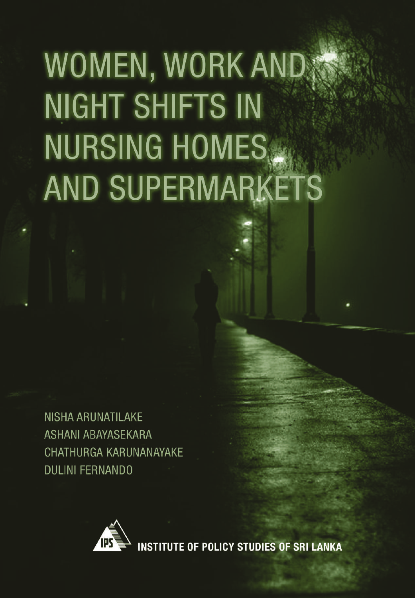# WOMEN, WORK AND **NIGHT SHIFTS IN NURSING HOMES AND SUPERMARKETS**

**NISHA ARUNATILAKE ASHANI ABAYASEKARA** CHATHURGA KARUNANAYAKE **DULINI FERNANDO** 



**INSTITUTE OF POLICY STUDIES OF SRI LANKA**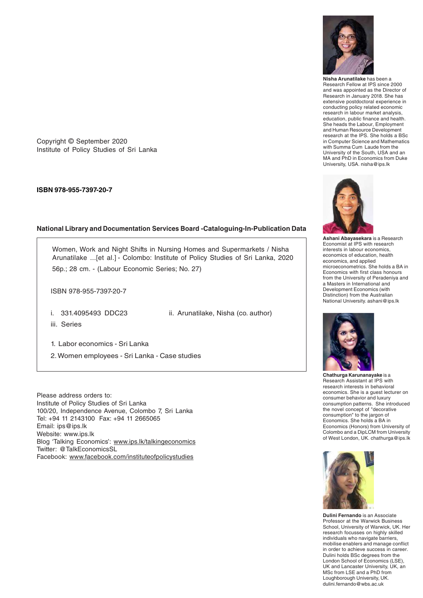

**Nisha Arunatilake** has been a Research Fellow at IPS since 2000 and was appointed as the Director of Research in January 2018. She has extensive postdoctoral experience in conducting policy related economic research in labour market analysis, education, public finance and health. She heads the Labour, Employment and Human Resource Development research at the IPS. She holds a BSc in Computer Science and Mathematics with Summa Cum Laude from the University of the South, USA and an MA and PhD in Economics from Duke University, USA. nisha@ips.lk

**Ashani Abayasekara** is a Research Economist at IPS with research interests in labour economics, economics of education, health economics, and applied microeconometrics. She holds a BA in Economics with first class honours from the University of Peradeniya and a Masters in International and Development Economics (with Distinction) from the Australian National University. ashani@ips.lk



**Chathurga Karunanayake** is a Research Assistant at IPS with research interests in behavioral economics. She is a guest lecturer on consumer behavior and luxury consumption patterns. She introduced the novel concept of "decorative consumption" to the jargon of Economics. She holds a BA in Economics (Honors) from University of Colombo and a DipLCM from University of West London, UK. chathurga@ips.lk



**Dulini Fernando** is an Associate Professor at the Warwick Business School, University of Warwick, UK. Her research focusses on highly skilled individuals who navigate barriers, mobilise enablers and manage conflict in order to achieve success in career. Dulini holds BSc degrees from the London School of Economics (LSE), UK and Lancaster University, UK, an MSc from LSE and a PhD from Loughborough University, UK. dulini.fernando@wbs.ac.uk

Copyright © September 2020 Institute of Policy Studies of Sri Lanka

**ISBN 978-955-7397-20-7**

#### **National Library and Documentation Services Board -Cataloguing-In-Publication Data**

Women, Work and Night Shifts in Nursing Homes and Supermarkets / Nisha Arunatilake ...[et al.] - Colombo: Institute of Policy Studies of Sri Lanka, 2020 56p.; 28 cm. - (Labour Economic Series; No. 27)

ISBN 978-955-7397-20-7

i. 331.4095493 DDC23 ii. Arunatilake, Nisha (co. author)

iii. Series

1. Labor economics - Sri Lanka 2. Women employees - Sri Lanka - Case studies

Please address orders to: Institute of Policy Studies of Sri Lanka 100/20, Independence Avenue, Colombo 7, Sri Lanka Tel: +94 11 2143100 Fax: +94 11 2665065 Email: ips@ips.lk Website: www.ips.lk Blog 'Talking Economics': www.ips.lk/talkingeconomics Twitter: @TalkEconomicsSL Facebook: www.facebook.com/instituteofpolicystudies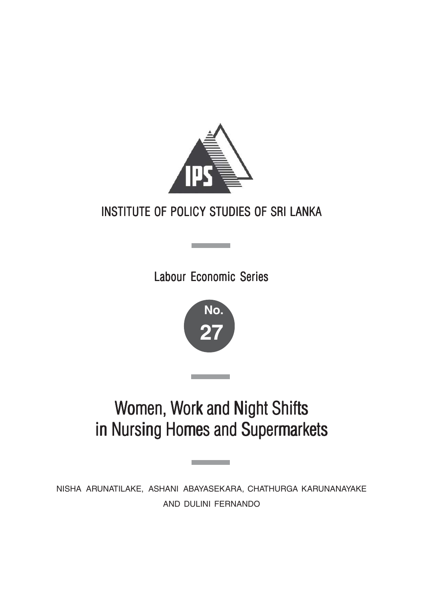

## INSTITUTE OF POLICY STUDIES OF SRI LANKA

Labour Economic Series

**Contract Contract** 



## Women, Work and Night Shifts in Nursing Homes and Supermarkets

NISHA ARUNATILAKE, ASHANI ABAYASEKARA, CHATHURGA KARUNANAYAKE AND DULINI FERNANDO

<u> Tanzania (h. 1878).</u>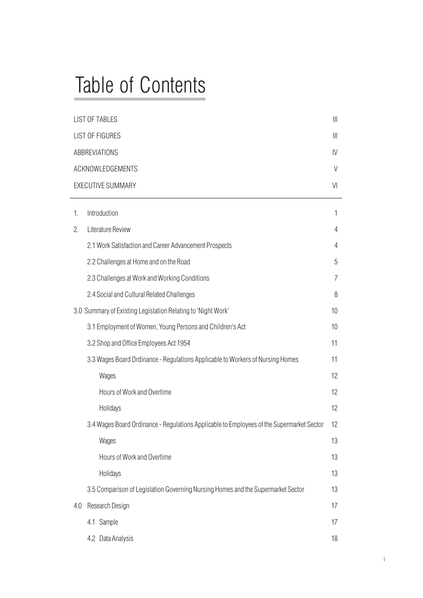## Table of Contents

|     | <b>LIST OF TABLES</b>                                                                     |                       |
|-----|-------------------------------------------------------------------------------------------|-----------------------|
|     | <b>LIST OF FIGURES</b>                                                                    | $\parallel \parallel$ |
|     | <b>ABBREVIATIONS</b>                                                                      | IV                    |
|     | ACKNOWLEDGEMENTS                                                                          | V                     |
|     | <b>EXECUTIVE SUMMARY</b>                                                                  | V <sub>l</sub>        |
| 1.  | Introduction                                                                              | 1                     |
| 2.  | Literature Review                                                                         | 4                     |
|     | 2.1 Work Satisfaction and Career Advancement Prospects                                    | 4                     |
|     | 2.2 Challenges at Home and on the Road                                                    | 5                     |
|     | 2.3 Challenges at Work and Working Conditions                                             | 7                     |
|     | 2.4 Social and Cultural Related Challenges                                                | 8                     |
|     | 3.0 Summary of Existing Legislation Relating to 'Night Work'                              | 10                    |
|     | 3.1 Employment of Women, Young Persons and Children's Act                                 | 10                    |
|     | 3.2 Shop and Office Employees Act 1954                                                    | 11                    |
|     | 3.3 Wages Board Ordinance - Regulations Applicable to Workers of Nursing Homes            | 11                    |
|     | Wages                                                                                     | 12                    |
|     | Hours of Work and Overtime                                                                | 12                    |
|     | Holidays                                                                                  | 12                    |
|     | 3.4 Wages Board Ordinance - Regulations Applicable to Employees of the Supermarket Sector | 12                    |
|     | Wages                                                                                     | 13                    |
|     | Hours of Work and Overtime                                                                | 13                    |
|     | Holidays                                                                                  | 13                    |
|     | 3.5 Comparison of Legislation Governing Nursing Homes and the Supermarket Sector          | 13                    |
| 4.0 | Research Design                                                                           | 17                    |
|     | 4.1 Sample                                                                                | 17                    |
|     | 4.2 Data Analysis                                                                         | 18                    |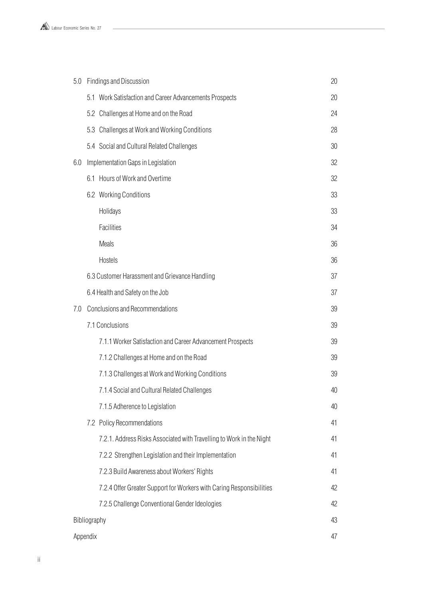

| 5.0 |              | <b>Findings and Discussion</b>                                       | 20 |
|-----|--------------|----------------------------------------------------------------------|----|
|     |              | 5.1 Work Satisfaction and Career Advancements Prospects              | 20 |
|     |              | 5.2 Challenges at Home and on the Road                               | 24 |
|     |              | 5.3 Challenges at Work and Working Conditions                        | 28 |
|     |              | 5.4 Social and Cultural Related Challenges                           | 30 |
| 6.0 |              | Implementation Gaps in Legislation                                   | 32 |
|     |              | 6.1 Hours of Work and Overtime                                       | 32 |
|     |              | 6.2 Working Conditions                                               | 33 |
|     |              | Holidays                                                             | 33 |
|     |              | <b>Facilities</b>                                                    | 34 |
|     |              | <b>Meals</b>                                                         | 36 |
|     |              | <b>Hostels</b>                                                       | 36 |
|     |              | 6.3 Customer Harassment and Grievance Handling                       | 37 |
|     |              | 6.4 Health and Safety on the Job                                     | 37 |
| 7.0 |              | <b>Conclusions and Recommendations</b>                               | 39 |
|     |              | 7.1 Conclusions                                                      | 39 |
|     |              | 7.1.1 Worker Satisfaction and Career Advancement Prospects           | 39 |
|     |              | 7.1.2 Challenges at Home and on the Road                             | 39 |
|     |              | 7.1.3 Challenges at Work and Working Conditions                      | 39 |
|     |              | 7.1.4 Social and Cultural Related Challenges                         | 40 |
|     |              | 7.1.5 Adherence to Legislation                                       | 40 |
|     |              | 7.2 Policy Recommendations                                           | 41 |
|     |              | 7.2.1. Address Risks Associated with Travelling to Work in the Night | 41 |
|     |              | 7.2.2 Strengthen Legislation and their Implementation                | 41 |
|     |              | 7.2.3 Build Awareness about Workers' Rights                          | 41 |
|     |              | 7.2.4 Offer Greater Support for Workers with Caring Responsibilities | 42 |
|     |              | 7.2.5 Challenge Conventional Gender Ideologies                       | 42 |
|     | Bibliography |                                                                      | 43 |
|     | Appendix     |                                                                      | 47 |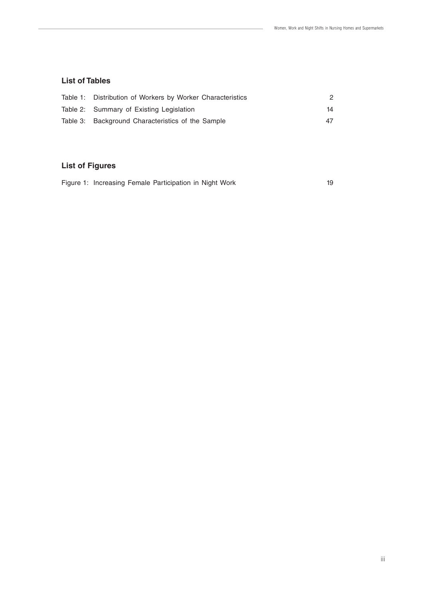#### **List of Tables**

| Table 1: Distribution of Workers by Worker Characteristics |    |
|------------------------------------------------------------|----|
| Table 2: Summary of Existing Legislation                   | 14 |
| Table 3: Background Characteristics of the Sample          | 47 |

#### **List of Figures**

|  | Figure 1: Increasing Female Participation in Night Work |  |
|--|---------------------------------------------------------|--|
|--|---------------------------------------------------------|--|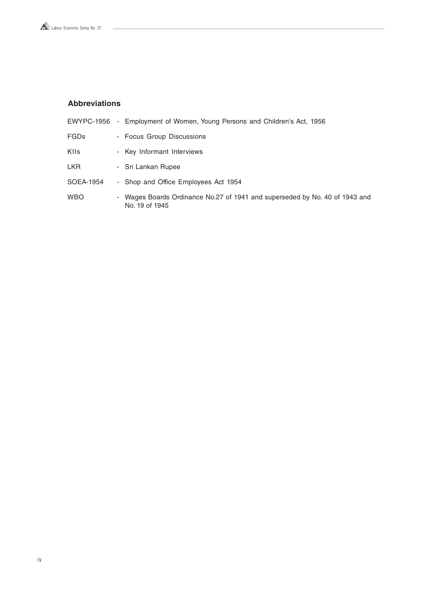#### **Abbreviations**

 $\overline{a}$ 

| EWYPC-1956 - Employment of Women, Young Persons and Children's Act, 1956                      |
|-----------------------------------------------------------------------------------------------|
| - Focus Group Discussions                                                                     |
| - Key Informant Interviews                                                                    |
| - Sri Lankan Rupee                                                                            |
| - Shop and Office Employees Act 1954                                                          |
| - Wages Boards Ordinance No.27 of 1941 and superseded by No. 40 of 1943 and<br>No. 19 of 1945 |
|                                                                                               |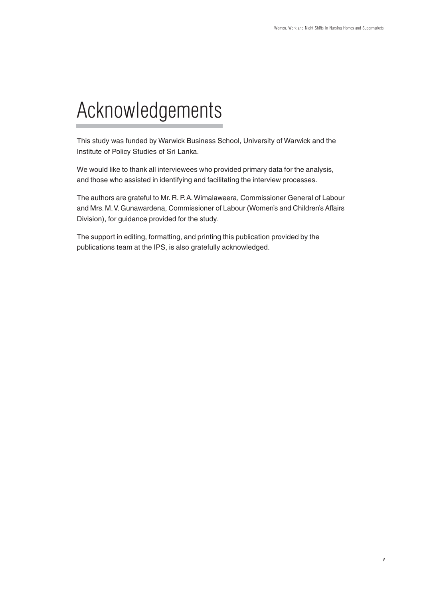## Acknowledgements

This study was funded by Warwick Business School, University of Warwick and the Institute of Policy Studies of Sri Lanka.

We would like to thank all interviewees who provided primary data for the analysis, and those who assisted in identifying and facilitating the interview processes.

The authors are grateful to Mr. R. P. A. Wimalaweera, Commissioner General of Labour and Mrs. M. V. Gunawardena, Commissioner of Labour (Women's and Children's Affairs Division), for guidance provided for the study.

The support in editing, formatting, and printing this publication provided by the publications team at the IPS, is also gratefully acknowledged.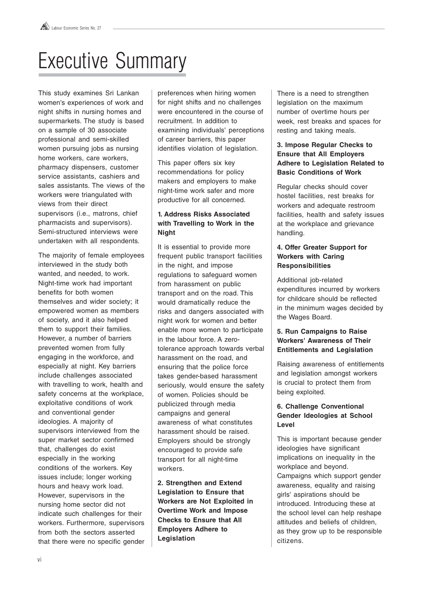## Executive Summary

This study examines Sri Lankan women's experiences of work and night shifts in nursing homes and supermarkets. The study is based on a sample of 30 associate professional and semi-skilled women pursuing jobs as nursing home workers, care workers, pharmacy dispensers, customer service assistants, cashiers and sales assistants. The views of the workers were triangulated with views from their direct supervisors (i.e., matrons, chief pharmacists and supervisors). Semi-structured interviews were undertaken with all respondents.

The majority of female employees interviewed in the study both wanted, and needed, to work. Night-time work had important benefits for both women themselves and wider society; it empowered women as members of society, and it also helped them to support their families. However, a number of barriers prevented women from fully engaging in the workforce, and especially at night. Key barriers include challenges associated with travelling to work, health and safety concerns at the workplace, exploitative conditions of work and conventional gender ideologies. A majority of supervisors interviewed from the super market sector confirmed that, challenges do exist especially in the working conditions of the workers. Key issues include; longer working hours and heavy work load. However, supervisors in the nursing home sector did not indicate such challenges for their workers. Furthermore, supervisors from both the sectors asserted that there were no specific gender preferences when hiring women for night shifts and no challenges were encountered in the course of recruitment. In addition to examining individuals' perceptions of career barriers, this paper identifies violation of legislation.

This paper offers six key recommendations for policy makers and employers to make night-time work safer and more productive for all concerned.

#### **1. Address Risks Associated with Travelling to Work in the Night**

It is essential to provide more frequent public transport facilities in the night, and impose regulations to safeguard women from harassment on public transport and on the road. This would dramatically reduce the risks and dangers associated with night work for women and better enable more women to participate in the labour force. A zerotolerance approach towards verbal harassment on the road, and ensuring that the police force takes gender-based harassment seriously, would ensure the safety of women. Policies should be publicized through media campaigns and general awareness of what constitutes harassment should be raised. Employers should be strongly encouraged to provide safe transport for all night-time workers.

**2. Strengthen and Extend Legislation to Ensure that Workers are Not Exploited in Overtime Work and Impose Checks to Ensure that All Employers Adhere to Legislation**

There is a need to strengthen legislation on the maximum number of overtime hours per week, rest breaks and spaces for resting and taking meals.

#### **3. Impose Regular Checks to Ensure that All Employers Adhere to Legislation Related to Basic Conditions of Work**

Regular checks should cover hostel facilities, rest breaks for workers and adequate restroom facilities, health and safety issues at the workplace and grievance handling.

#### **4. Offer Greater Support for Workers with Caring Responsibilities**

Additional job-related expenditures incurred by workers for childcare should be reflected in the minimum wages decided by the Wages Board.

#### **5. Run Campaigns to Raise Workers' Awareness of Their Entitlements and Legislation**

Raising awareness of entitlements and legislation amongst workers is crucial to protect them from being exploited.

#### **6. Challenge Conventional Gender Ideologies at School Level**

This is important because gender ideologies have significant implications on inequality in the workplace and beyond. Campaigns which support gender awareness, equality and raising girls' aspirations should be introduced. Introducing these at the school level can help reshape attitudes and beliefs of children, as they grow up to be responsible citizens.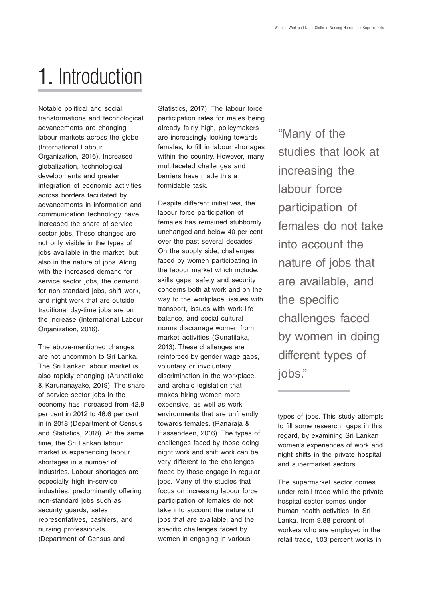## 1. Introduction

Notable political and social transformations and technological advancements are changing labour markets across the globe (International Labour Organization, 2016). Increased globalization, technological developments and greater integration of economic activities across borders facilitated by advancements in information and communication technology have increased the share of service sector jobs. These changes are not only visible in the types of jobs available in the market, but also in the nature of jobs. Along with the increased demand for service sector jobs, the demand for non-standard jobs, shift work, and night work that are outside traditional day-time jobs are on the increase (International Labour Organization, 2016).

The above-mentioned changes are not uncommon to Sri Lanka. The Sri Lankan labour market is also rapidly changing (Arunatilake & Karunanayake, 2019). The share of service sector jobs in the economy has increased from 42.9 per cent in 2012 to 46.6 per cent in in 2018 (Department of Census and Statistics, 2018). At the same time, the Sri Lankan labour market is experiencing labour shortages in a number of industries. Labour shortages are especially high in-service industries, predominantly offering non-standard jobs such as security quards, sales representatives, cashiers, and nursing professionals (Department of Census and

Statistics, 2017). The labour force participation rates for males being already fairly high, policymakers are increasingly looking towards females, to fill in labour shortages within the country. However, many multifaceted challenges and barriers have made this a formidable task.

Despite different initiatives, the labour force participation of females has remained stubbornly unchanged and below 40 per cent over the past several decades. On the supply side, challenges faced by women participating in the labour market which include, skills gaps, safety and security concerns both at work and on the way to the workplace, issues with transport, issues with work-life balance, and social cultural norms discourage women from market activities (Gunatilaka, 2013). These challenges are reinforced by gender wage gaps, voluntary or involuntary discrimination in the workplace, and archaic legislation that makes hiring women more expensive, as well as work environments that are unfriendly towards females. (Ranaraja & Hassendeen, 2016). The types of challenges faced by those doing night work and shift work can be very different to the challenges faced by those engage in regular jobs. Many of the studies that focus on increasing labour force participation of females do not take into account the nature of jobs that are available, and the specific challenges faced by women in engaging in various

"Many of the studies that look at increasing the labour force participation of females do not take into account the nature of jobs that are available, and the specific challenges faced by women in doing different types of jobs."

types of jobs. This study attempts to fill some research gaps in this regard, by examining Sri Lankan women's experiences of work and night shifts in the private hospital and supermarket sectors.

The supermarket sector comes under retail trade while the private hospital sector comes under human health activities. In Sri Lanka, from 9.88 percent of workers who are employed in the retail trade, 1.03 percent works in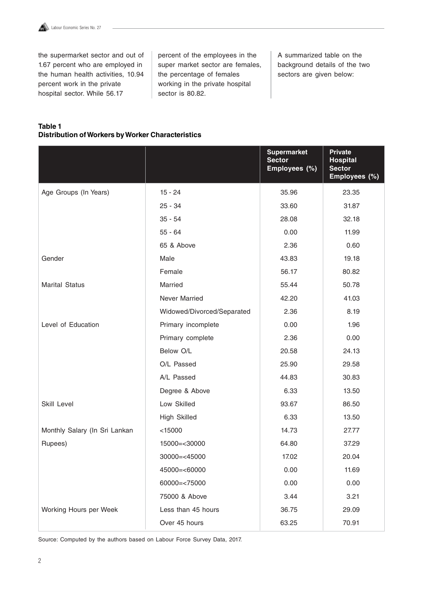

the supermarket sector and out of 1.67 percent who are employed in the human health activities, 10.94 percent work in the private hospital sector. While 56.17

percent of the employees in the super market sector are females, the percentage of females working in the private hospital sector is 80.82.

A summarized table on the background details of the two sectors are given below:

#### **Table 1 Distribution of Workers by Worker Characteristics**

|                               |                            | <b>Supermarket</b><br><b>Sector</b><br>Employees (%) | <b>Private</b><br><b>Hospital</b><br><b>Sector</b><br>Employees (%) |
|-------------------------------|----------------------------|------------------------------------------------------|---------------------------------------------------------------------|
| Age Groups (In Years)         | $15 - 24$                  | 35.96                                                | 23.35                                                               |
|                               | $25 - 34$                  | 33.60                                                | 31.87                                                               |
|                               | $35 - 54$                  | 28.08                                                | 32.18                                                               |
|                               | $55 - 64$                  | 0.00                                                 | 11.99                                                               |
|                               | 65 & Above                 | 2.36                                                 | 0.60                                                                |
| Gender                        | Male                       | 43.83                                                | 19.18                                                               |
|                               | Female                     | 56.17                                                | 80.82                                                               |
| <b>Marital Status</b>         | Married                    | 55.44                                                | 50.78                                                               |
|                               | Never Married              | 42.20                                                | 41.03                                                               |
|                               | Widowed/Divorced/Separated | 2.36                                                 | 8.19                                                                |
| Level of Education            | Primary incomplete         | 0.00                                                 | 1.96                                                                |
|                               | Primary complete           | 2.36                                                 | 0.00                                                                |
|                               | Below O/L                  | 20.58                                                | 24.13                                                               |
|                               | O/L Passed                 | 25.90                                                | 29.58                                                               |
|                               | A/L Passed                 | 44.83                                                | 30.83                                                               |
|                               | Degree & Above             | 6.33                                                 | 13.50                                                               |
| Skill Level                   | Low Skilled                | 93.67                                                | 86.50                                                               |
|                               | <b>High Skilled</b>        | 6.33                                                 | 13.50                                                               |
| Monthly Salary (In Sri Lankan | < 15000                    | 14.73                                                | 27.77                                                               |
| Rupees)                       | 15000=<30000               | 64.80                                                | 37.29                                                               |
|                               | $30000 = < 45000$          | 17.02                                                | 20.04                                                               |
|                               | 45000=<60000               | 0.00                                                 | 11.69                                                               |
|                               | 60000=<75000               | 0.00                                                 | 0.00                                                                |
|                               | 75000 & Above              | 3.44                                                 | 3.21                                                                |
| Working Hours per Week        | Less than 45 hours         | 36.75                                                | 29.09                                                               |
|                               | Over 45 hours              | 63.25                                                | 70.91                                                               |

Source: Computed by the authors based on Labour Force Survey Data, 2017.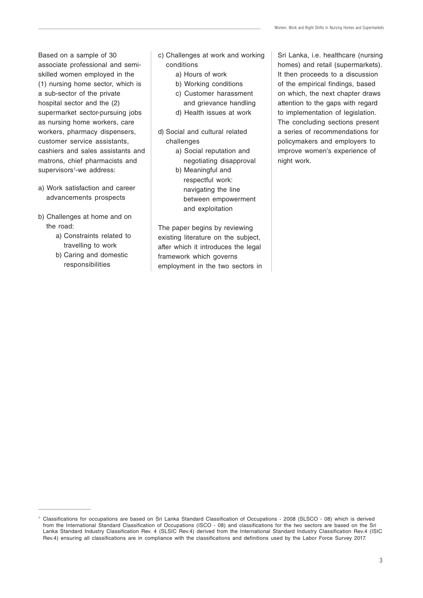Based on a sample of 30 associate professional and semiskilled women employed in the (1) nursing home sector, which is a sub-sector of the private hospital sector and the (2) supermarket sector-pursuing jobs as nursing home workers, care workers, pharmacy dispensers, customer service assistants, cashiers and sales assistants and matrons, chief pharmacists and supervisors<sup>1</sup>-we address:

- a) Work satisfaction and career advancements prospects
- b) Challenges at home and on the road:
	- a) Constraints related to travelling to work
	- b) Caring and domestic responsibilities
- c) Challenges at work and working conditions
	- a) Hours of work
	- b) Working conditions
	- c) Customer harassment
	- and grievance handling
	- d) Health issues at work
- d) Social and cultural related challenges
	- a) Social reputation and negotiating disapproval
	- b) Meaningful and respectful work: navigating the line between empowerment and exploitation

The paper begins by reviewing existing literature on the subject, after which it introduces the legal framework which governs employment in the two sectors in Sri Lanka, i.e. healthcare (nursing homes) and retail (supermarkets). It then proceeds to a discussion of the empirical findings, based on which, the next chapter draws attention to the gaps with regard to implementation of legislation. The concluding sections present a series of recommendations for policymakers and employers to improve women's experience of night work.

<sup>1</sup> Classifications for occupations are based on Sri Lanka Standard Classification of Occupations - 2008 (SLSCO - 08) which is derived from the International Standard Classification of Occupations (ISCO - 08) and classifications for the two sectors are based on the Sri Lanka Standard Industry Classification Rev. 4 (SLSIC Rev.4) derived from the International Standard Industry Classification Rev.4 (ISIC Rev.4) ensuring all classifications are in compliance with the classifications and definitions used by the Labor Force Survey 2017.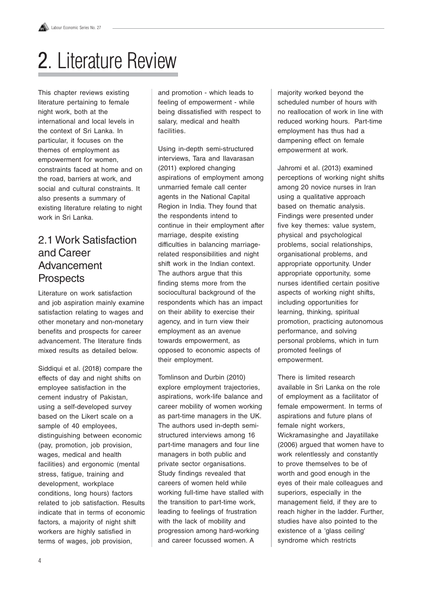## 2. Literature Review

This chapter reviews existing literature pertaining to female night work, both at the international and local levels in the context of Sri Lanka. In particular, it focuses on the themes of employment as empowerment for women, constraints faced at home and on the road, barriers at work, and social and cultural constraints. It also presents a summary of existing literature relating to night work in Sri Lanka.

### 2.1 Work Satisfaction and Career Advancement **Prospects**

Literature on work satisfaction and job aspiration mainly examine satisfaction relating to wages and other monetary and non-monetary benefits and prospects for career advancement. The literature finds mixed results as detailed below.

Siddiqui et al. (2018) compare the effects of day and night shifts on employee satisfaction in the cement industry of Pakistan, using a self-developed survey based on the Likert scale on a sample of 40 employees, distinguishing between economic (pay, promotion, job provision, wages, medical and health facilities) and ergonomic (mental stress, fatigue, training and development, workplace conditions, long hours) factors related to job satisfaction. Results indicate that in terms of economic factors, a majority of night shift workers are highly satisfied in terms of wages, job provision,

and promotion - which leads to feeling of empowerment - while being dissatisfied with respect to salary, medical and health facilities.

Using in-depth semi-structured interviews, Tara and Ilavarasan (2011) explored changing aspirations of employment among unmarried female call center agents in the National Capital Region in India. They found that the respondents intend to continue in their employment after marriage, despite existing difficulties in balancing marriagerelated responsibilities and night shift work in the Indian context. The authors argue that this finding stems more from the sociocultural background of the respondents which has an impact on their ability to exercise their agency, and in turn view their employment as an avenue towards empowerment, as opposed to economic aspects of their employment.

Tomlinson and Durbin (2010) explore employment trajectories, aspirations, work-life balance and career mobility of women working as part-time managers in the UK. The authors used in-depth semistructured interviews among 16 part-time managers and four line managers in both public and private sector organisations. Study findings revealed that careers of women held while working full-time have stalled with the transition to part-time work, leading to feelings of frustration with the lack of mobility and progression among hard-working and career focussed women. A

majority worked beyond the scheduled number of hours with no reallocation of work in line with reduced working hours. Part-time employment has thus had a dampening effect on female empowerment at work.

Jahromi et al. (2013) examined perceptions of working night shifts among 20 novice nurses in Iran using a qualitative approach based on thematic analysis. Findings were presented under five key themes: value system, physical and psychological problems, social relationships, organisational problems, and appropriate opportunity. Under appropriate opportunity, some nurses identified certain positive aspects of working night shifts, including opportunities for learning, thinking, spiritual promotion, practicing autonomous performance, and solving personal problems, which in turn promoted feelings of empowerment.

There is limited research available in Sri Lanka on the role of employment as a facilitator of female empowerment. In terms of aspirations and future plans of female night workers. Wickramasinghe and Jayatillake (2006) argued that women have to work relentlessly and constantly to prove themselves to be of worth and good enough in the eyes of their male colleagues and superiors, especially in the management field, if they are to reach higher in the ladder. Further, studies have also pointed to the existence of a 'glass ceiling' syndrome which restricts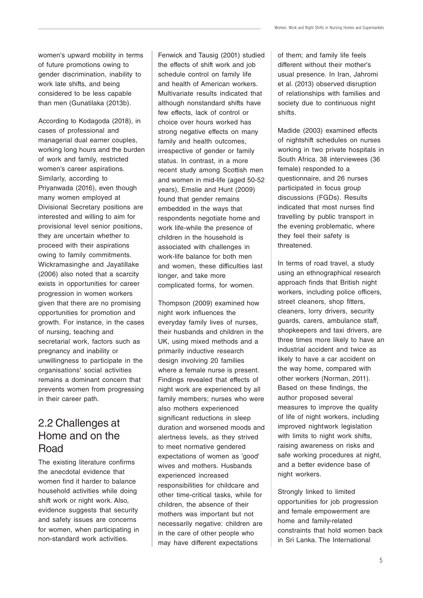women's upward mobility in terms of future promotions owing to gender discrimination, inability to work late shifts, and being considered to be less capable than men (Gunatilaka (2013b).

According to Kodagoda (2018), in cases of professional and managerial dual earner couples, working long hours and the burden of work and family, restricted women's career aspirations. Similarly, according to Priyanwada (2016), even though many women employed at Divisional Secretary positions are interested and willing to aim for provisional level senior positions, they are uncertain whether to proceed with their aspirations owing to family commitments. Wickramasinghe and Jayatillake (2006) also noted that a scarcity exists in opportunities for career progression in women workers given that there are no promising opportunities for promotion and growth. For instance, in the cases of nursing, teaching and secretarial work, factors such as pregnancy and inability or unwillingness to participate in the organisations' social activities remains a dominant concern that prevents women from progressing in their career path.

## 2.2 Challenges at Home and on the Road

The existing literature confirms the anecdotal evidence that women find it harder to balance household activities while doing shift work or night work. Also, evidence suggests that security and safety issues are concerns for women, when participating in non-standard work activities.

Fenwick and Tausig (2001) studied the effects of shift work and job schedule control on family life and health of American workers. Multivariate results indicated that although nonstandard shifts have few effects, lack of control or choice over hours worked has strong negative effects on many family and health outcomes, irrespective of gender or family status. In contrast, in a more recent study among Scottish men and women in mid-life (aged 50-52 years), Emslie and Hunt (2009) found that gender remains embedded in the ways that respondents negotiate home and work life-while the presence of children in the household is associated with challenges in work-life balance for both men and women, these difficulties last longer, and take more complicated forms, for women.

Thompson (2009) examined how night work influences the everyday family lives of nurses, their husbands and children in the UK, using mixed methods and a primarily inductive research design involving 20 families where a female nurse is present. Findings revealed that effects of night work are experienced by all family members; nurses who were also mothers experienced significant reductions in sleep duration and worsened moods and alertness levels, as they strived to meet normative gendered expectations of women as 'good' wives and mothers. Husbands experienced increased responsibilities for childcare and other time-critical tasks, while for children, the absence of their mothers was important but not necessarily negative: children are in the care of other people who may have different expectations

of them; and family life feels different without their mother's usual presence. In Iran, Jahromi et al. (2013) observed disruption of relationships with families and society due to continuous night shifts.

Madide (2003) examined effects of nightshift schedules on nurses working in two private hospitals in South Africa. 38 interviewees (36 female) responded to a questionnaire, and 26 nurses participated in focus group discussions (FGDs). Results indicated that most nurses find travelling by public transport in the evening problematic, where they feel their safety is threatened.

In terms of road travel, a study using an ethnographical research approach finds that British night workers, including police officers, street cleaners, shop fitters, cleaners, lorry drivers, security guards, carers, ambulance staff, shopkeepers and taxi drivers, are three times more likely to have an industrial accident and twice as likely to have a car accident on the way home, compared with other workers (Norman, 2011). Based on these findings, the author proposed several measures to improve the quality of life of night workers, including improved nightwork legislation with limits to night work shifts, raising awareness on risks and safe working procedures at night, and a better evidence base of night workers.

Strongly linked to limited opportunities for job progression and female empowerment are home and family-related constraints that hold women back in Sri Lanka. The International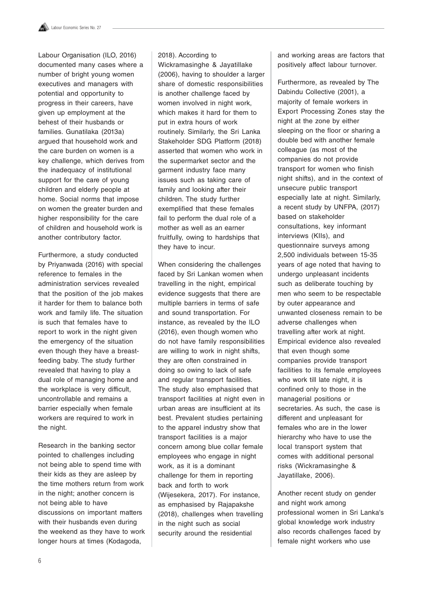Labour Organisation (ILO, 2016) documented many cases where a number of bright young women executives and managers with potential and opportunity to progress in their careers, have given up employment at the behest of their husbands or families. Gunatilaka (2013a) argued that household work and the care burden on women is a key challenge, which derives from the inadequacy of institutional support for the care of young children and elderly people at home. Social norms that impose on women the greater burden and higher responsibility for the care of children and household work is another contributory factor.

Furthermore, a study conducted by Priyanwada (2016) with special reference to females in the administration services revealed that the position of the job makes it harder for them to balance both work and family life. The situation is such that females have to report to work in the night given the emergency of the situation even though they have a breastfeeding baby. The study further revealed that having to play a dual role of managing home and the workplace is very difficult, uncontrollable and remains a barrier especially when female workers are required to work in the night.

Research in the banking sector pointed to challenges including not being able to spend time with their kids as they are asleep by the time mothers return from work in the night; another concern is not being able to have discussions on important matters with their husbands even during the weekend as they have to work longer hours at times (Kodagoda,

#### 2018). According to

Wickramasinghe & Jayatillake (2006), having to shoulder a larger share of domestic responsibilities is another challenge faced by women involved in night work, which makes it hard for them to put in extra hours of work routinely. Similarly, the Sri Lanka Stakeholder SDG Platform (2018) asserted that women who work in the supermarket sector and the garment industry face many issues such as taking care of family and looking after their children. The study further exemplified that these females fail to perform the dual role of a mother as well as an earner fruitfully, owing to hardships that they have to incur.

When considering the challenges faced by Sri Lankan women when travelling in the night, empirical evidence suggests that there are multiple barriers in terms of safe and sound transportation. For instance, as revealed by the ILO (2016), even though women who do not have family responsibilities are willing to work in night shifts, they are often constrained in doing so owing to lack of safe and regular transport facilities. The study also emphasised that transport facilities at night even in urban areas are insufficient at its best. Prevalent studies pertaining to the apparel industry show that transport facilities is a major concern among blue collar female employees who engage in night work, as it is a dominant challenge for them in reporting back and forth to work (Wijesekera, 2017). For instance, as emphasised by Rajapakshe (2018), challenges when travelling in the night such as social security around the residential

and working areas are factors that positively affect labour turnover.

Furthermore, as revealed by The Dabindu Collective (2001), a majority of female workers in Export Processing Zones stay the night at the zone by either sleeping on the floor or sharing a double bed with another female colleague (as most of the companies do not provide transport for women who finish night shifts), and in the context of unsecure public transport especially late at night. Similarly, a recent study by UNFPA, (2017) based on stakeholder consultations, key informant interviews (KIIs), and questionnaire surveys among 2,500 individuals between 15-35 years of age noted that having to undergo unpleasant incidents such as deliberate touching by men who seem to be respectable by outer appearance and unwanted closeness remain to be adverse challenges when travelling after work at night. Empirical evidence also revealed that even though some companies provide transport facilities to its female employees who work till late night, it is confined only to those in the managerial positions or secretaries. As such, the case is different and unpleasant for females who are in the lower hierarchy who have to use the local transport system that comes with additional personal risks (Wickramasinghe & Jayatillake, 2006).

Another recent study on gender and night work among professional women in Sri Lanka's global knowledge work industry also records challenges faced by female night workers who use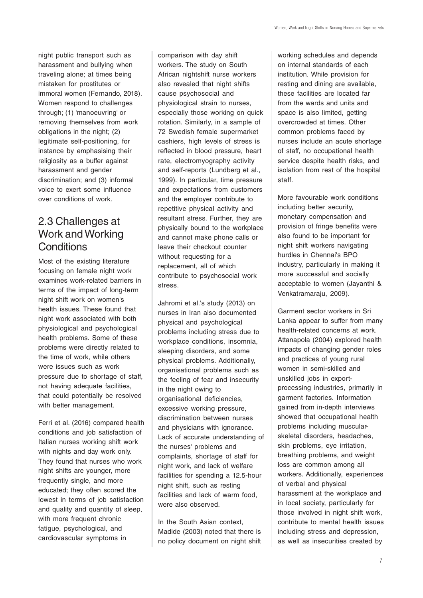night public transport such as harassment and bullying when traveling alone; at times being mistaken for prostitutes or immoral women (Fernando, 2018). Women respond to challenges through; (1) 'manoeuvring' or removing themselves from work obligations in the night; (2) legitimate self-positioning, for instance by emphasising their religiosity as a buffer against harassment and gender discrimination; and (3) informal voice to exert some influence over conditions of work.

## 2.3 Challenges at Work and Working **Conditions**

Most of the existing literature focusing on female night work examines work-related barriers in terms of the impact of long-term night shift work on women's health issues. These found that night work associated with both physiological and psychological health problems. Some of these problems were directly related to the time of work, while others were issues such as work pressure due to shortage of staff, not having adequate facilities, that could potentially be resolved with better management.

Ferri et al. (2016) compared health conditions and job satisfaction of Italian nurses working shift work with nights and day work only. They found that nurses who work night shifts are younger, more frequently single, and more educated; they often scored the lowest in terms of job satisfaction and quality and quantity of sleep, with more frequent chronic fatigue, psychological, and cardiovascular symptoms in

comparison with day shift workers. The study on South African nightshift nurse workers also revealed that night shifts cause psychosocial and physiological strain to nurses, especially those working on quick rotation. Similarly, in a sample of 72 Swedish female supermarket cashiers, high levels of stress is reflected in blood pressure, heart rate, electromyography activity and self-reports (Lundberg et al., 1999). In particular, time pressure and expectations from customers and the employer contribute to repetitive physical activity and resultant stress. Further, they are physically bound to the workplace and cannot make phone calls or leave their checkout counter without requesting for a replacement, all of which contribute to psychosocial work stress.

Jahromi et al.'s study (2013) on nurses in Iran also documented physical and psychological problems including stress due to workplace conditions, insomnia, sleeping disorders, and some physical problems. Additionally, organisational problems such as the feeling of fear and insecurity in the night owing to organisational deficiencies, excessive working pressure, discrimination between nurses and physicians with ignorance. Lack of accurate understanding of the nurses' problems and complaints, shortage of staff for night work, and lack of welfare facilities for spending a 12.5-hour night shift, such as resting facilities and lack of warm food, were also observed.

In the South Asian context, Madide (2003) noted that there is no policy document on night shift working schedules and depends on internal standards of each institution. While provision for resting and dining are available, these facilities are located far from the wards and units and space is also limited, getting overcrowded at times. Other common problems faced by nurses include an acute shortage of staff, no occupational health service despite health risks, and isolation from rest of the hospital staff.

More favourable work conditions including better security, monetary compensation and provision of fringe benefits were also found to be important for night shift workers navigating hurdles in Chennai's BPO industry, particularly in making it more successful and socially acceptable to women (Jayanthi & Venkatramaraju, 2009).

Garment sector workers in Sri Lanka appear to suffer from many health-related concerns at work. Attanapola (2004) explored health impacts of changing gender roles and practices of young rural women in semi-skilled and unskilled jobs in exportprocessing industries, primarily in garment factories. Information gained from in-depth interviews showed that occupational health problems including muscularskeletal disorders, headaches, skin problems, eye irritation, breathing problems, and weight loss are common among all workers. Additionally, experiences of verbal and physical harassment at the workplace and in local society, particularly for those involved in night shift work, contribute to mental health issues including stress and depression, as well as insecurities created by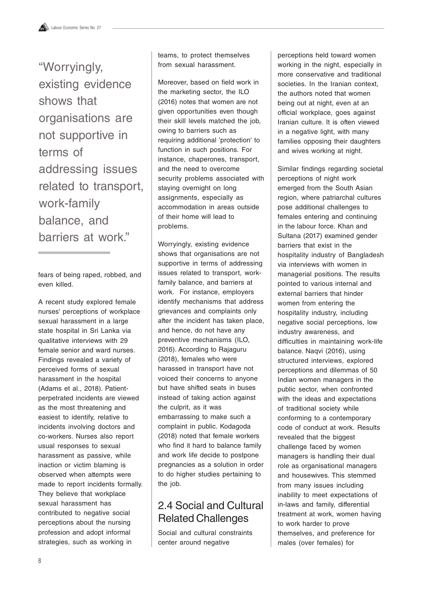"Worryingly, existing evidence shows that organisations are not supportive in terms of addressing issues related to transport, work-family balance, and barriers at work."

fears of being raped, robbed, and even killed.

A recent study explored female nurses' perceptions of workplace sexual harassment in a large state hospital in Sri Lanka via qualitative interviews with 29 female senior and ward nurses. Findings revealed a variety of perceived forms of sexual harassment in the hospital (Adams et al., 2018). Patientperpetrated incidents are viewed as the most threatening and easiest to identify, relative to incidents involving doctors and co-workers. Nurses also report usual responses to sexual harassment as passive, while inaction or victim blaming is observed when attempts were made to report incidents formally. They believe that workplace sexual harassment has contributed to negative social perceptions about the nursing profession and adopt informal strategies, such as working in

teams, to protect themselves from sexual harassment.

Moreover, based on field work in the marketing sector, the ILO (2016) notes that women are not given opportunities even though their skill levels matched the job, owing to barriers such as requiring additional 'protection' to function in such positions. For instance, chaperones, transport, and the need to overcome security problems associated with staying overnight on long assignments, especially as accommodation in areas outside of their home will lead to problems.

Worryingly, existing evidence shows that organisations are not supportive in terms of addressing issues related to transport, workfamily balance, and barriers at work. For instance, employers identify mechanisms that address grievances and complaints only after the incident has taken place, and hence, do not have any preventive mechanisms (ILO, 2016). According to Rajaguru (2018), females who were harassed in transport have not voiced their concerns to anyone but have shifted seats in buses instead of taking action against the culprit, as it was embarrassing to make such a complaint in public. Kodagoda (2018) noted that female workers who find it hard to balance family and work life decide to postpone pregnancies as a solution in order to do higher studies pertaining to the job.

## 2.4 Social and Cultural Related Challenges

Social and cultural constraints center around negative

perceptions held toward women working in the night, especially in more conservative and traditional societies. In the Iranian context, the authors noted that women being out at night, even at an official workplace, goes against Iranian culture. It is often viewed in a negative light, with many families opposing their daughters and wives working at night.

Similar findings regarding societal perceptions of night work emerged from the South Asian region, where patriarchal cultures pose additional challenges to females entering and continuing in the labour force. Khan and Sultana (2017) examined gender barriers that exist in the hospitality industry of Bangladesh via interviews with women in managerial positions. The results pointed to various internal and external barriers that hinder women from entering the hospitality industry, including negative social perceptions, low industry awareness, and difficulties in maintaining work-life balance. Naqvi (2016), using structured interviews, explored perceptions and dilemmas of 50 Indian women managers in the public sector, when confronted with the ideas and expectations of traditional society while conforming to a contemporary code of conduct at work. Results revealed that the biggest challenge faced by women managers is handling their dual role as organisational managers and housewives. This stemmed from many issues including inability to meet expectations of in-laws and family, differential treatment at work, women having to work harder to prove themselves, and preference for males (over females) for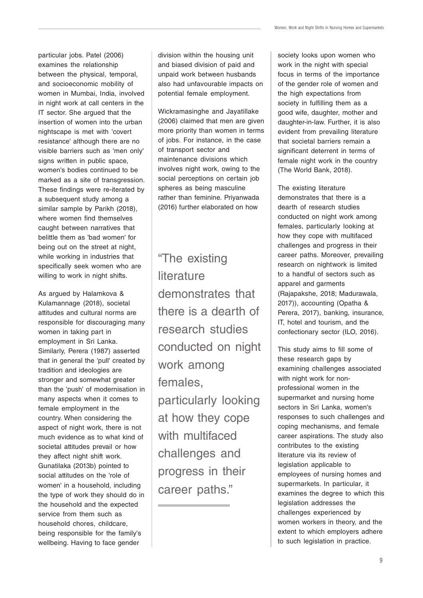particular jobs. Patel (2006) examines the relationship between the physical, temporal, and socioeconomic mobility of women in Mumbai, India, involved in night work at call centers in the IT sector. She argued that the insertion of women into the urban nightscape is met with 'covert resistance' although there are no visible barriers such as 'men only' signs written in public space, women's bodies continued to be marked as a site of transgression. These findings were re-iterated by a subsequent study among a similar sample by Parikh (2018), where women find themselves caught between narratives that belittle them as 'bad women' for being out on the street at night, while working in industries that specifically seek women who are willing to work in night shifts.

As argued by Halamkova & Kulamannage (2018), societal attitudes and cultural norms are responsible for discouraging many women in taking part in employment in Sri Lanka. Similarly, Perera (1987) asserted that in general the 'pull' created by tradition and ideologies are stronger and somewhat greater than the 'push' of modernisation in many aspects when it comes to female employment in the country. When considering the aspect of night work, there is not much evidence as to what kind of societal attitudes prevail or how they affect night shift work. Gunatilaka (2013b) pointed to social attitudes on the 'role of women' in a household, including the type of work they should do in the household and the expected service from them such as household chores, childcare, being responsible for the family's wellbeing. Having to face gender

division within the housing unit and biased division of paid and unpaid work between husbands also had unfavourable impacts on potential female employment.

Wickramasinghe and Jayatillake (2006) claimed that men are given more priority than women in terms of jobs. For instance, in the case of transport sector and maintenance divisions which involves night work, owing to the social perceptions on certain job spheres as being masculine rather than feminine. Priyanwada (2016) further elaborated on how

"The existing **literature** demonstrates that there is a dearth of research studies conducted on night work among females, particularly looking at how they cope with multifaced challenges and progress in their career paths."

society looks upon women who work in the night with special focus in terms of the importance of the gender role of women and the high expectations from society in fulfilling them as a good wife, daughter, mother and daughter-in-law. Further, it is also evident from prevailing literature that societal barriers remain a significant deterrent in terms of female night work in the country (The World Bank, 2018).

The existing literature demonstrates that there is a dearth of research studies conducted on night work among females, particularly looking at how they cope with multifaced challenges and progress in their career paths. Moreover, prevailing research on nightwork is limited to a handful of sectors such as apparel and garments (Rajapakshe, 2018; Madurawala, 2017)), accounting (Opatha & Perera, 2017), banking, insurance, IT, hotel and tourism, and the confectionary sector (ILO, 2016).

This study aims to fill some of these research gaps by examining challenges associated with night work for nonprofessional women in the supermarket and nursing home sectors in Sri Lanka, women's responses to such challenges and coping mechanisms, and female career aspirations. The study also contributes to the existing literature via its review of legislation applicable to employees of nursing homes and supermarkets. In particular, it examines the degree to which this legislation addresses the challenges experienced by women workers in theory, and the extent to which employers adhere to such legislation in practice.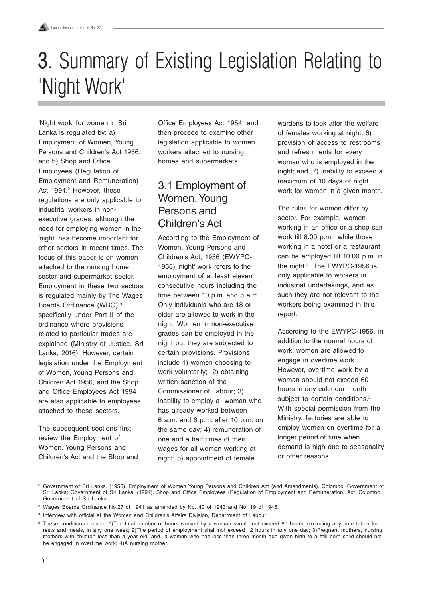## **3.** Summary of Existing Legislation Relating to 'Night Work'

'Night work' for women in Sri Lanka is regulated by: a) Employment of Women, Young Persons and Children's Act 1956, and b) Shop and Office Employees (Regulation of Employment and Remuneration) Act 1994.<sup>2</sup> However, these regulations are only applicable to industrial workers in nonexecutive grades, although the need for employing women in the 'night' has become important for other sectors in recent times. The focus of this paper is on women attached to the nursing home sector and supermarket sector. Employment in these two sectors is regulated mainly by The Wages Boards Ordinance (WBO),<sup>3</sup> specifically under Part II of the ordinance where provisions related to particular trades are explained (Ministry of Justice, Sri Lanka, 2016). However, certain legislation under the Employment of Women, Young Persons and Children Act 1956, and the Shop and Office Employees Act 1994 are also applicable to employees attached to these sectors.

The subsequent sections first review the Employment of Women, Young Persons and Children's Act and the Shop and Office Employees Act 1954, and then proceed to examine other legislation applicable to women workers attached to nursing homes and supermarkets.

## 3.1 Employment of Women, Young Persons and Children's Act

According to the Employment of Women, Young Persons and Children's Act, 1956 (EWYPC-1956) 'night' work refers to the employment of at least eleven consecutive hours including the time between 10 p.m. and 5 a.m. Only individuals who are 18 or older are allowed to work in the night. Women in non-executive grades can be employed in the night but they are subjected to certain provisions. Provisions include 1) women choosing to work voluntarily; 2) obtaining written sanction of the Commissioner of Labour; 3) inability to employ a woman who has already worked between 6 a.m. and 6 p.m. after 10 p.m. on the same day; 4) remuneration of one and a half times of their wages for all women working at night; 5) appointment of female

wardens to look after the welfare of females working at night; 6) provision of access to restrooms and refreshments for every woman who is employed in the night; and, 7) inability to exceed a maximum of 10 days of night work for women in a given month.

The rules for women differ by sector. For example, women working in an office or a shop can work till 8.00 p.m., while those working in a hotel or a restaurant can be employed till 10.00 p.m. in the night.4 The EWYPC-1956 is only applicable to workers in industrial undertakings, and as such they are not relevant to the workers being examined in this report.

According to the EWYPC-1956, in addition to the normal hours of work, women are allowed to engage in overtime work. However, overtime work by a woman should not exceed 60 hours in any calendar month subject to certain conditions.<sup>5</sup> With special permission from the Ministry, factories are able to employ women on overtime for a longer period of time when demand is high due to seasonality or other reasons.

<sup>&</sup>lt;sup>2</sup> Government of Sri Lanka. (1956). Employment of Women Young Persons and Children Act (and Amendments). Colombo: Government of Sri Lanka; Government of Sri Lanka. (1994). Shop and Office Employees (Regulation of Employment and Remuneration) Act. Colombo: Government of Sri Lanka.

<sup>&</sup>lt;sup>3</sup> Wages Boards Ordinance No.27 of 1941 as amended by No. 40 of 1943 and No. 19 of 1945.

<sup>4</sup> Interview with official at the Women and Children's Affairs Division, Department of Labour.

<sup>&</sup>lt;sup>5</sup> These conditions include: 1)The total number of hours worked by a woman should not exceed 60 hours, excluding any time taken for rests and meals, in any one week; 2)The period of employment shall not exceed 12 hours in any one day; 3)Pregnant mothers, nursing mothers with children less than a year old, and a woman who has less than three month ago given birth to a still born child should not be engaged in overtime work; 4)A nursing mother.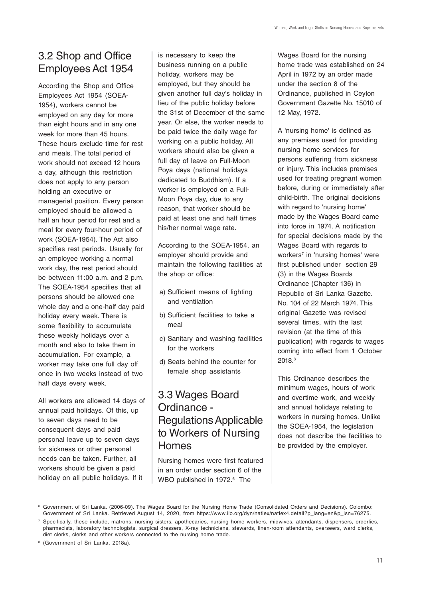## 3.2 Shop and Office Employees Act 1954

According the Shop and Office Employees Act 1954 (SOEA-1954), workers cannot be employed on any day for more than eight hours and in any one week for more than 45 hours. These hours exclude time for rest and meals. The total period of work should not exceed 12 hours a day, although this restriction does not apply to any person holding an executive or managerial position. Every person employed should be allowed a half an hour period for rest and a meal for every four-hour period of work (SOEA-1954). The Act also specifies rest periods. Usually for an employee working a normal work day, the rest period should be between 11:00 a.m. and 2 p.m. The SOEA-1954 specifies that all persons should be allowed one whole day and a one-half day paid holiday every week. There is some flexibility to accumulate these weekly holidays over a month and also to take them in accumulation. For example, a worker may take one full day off once in two weeks instead of two half days every week.

All workers are allowed 14 days of annual paid holidays. Of this, up to seven days need to be consequent days and paid personal leave up to seven days for sickness or other personal needs can be taken. Further, all workers should be given a paid holiday on all public holidays. If it

is necessary to keep the business running on a public holiday, workers may be employed, but they should be given another full day's holiday in lieu of the public holiday before the 31st of December of the same year. Or else, the worker needs to be paid twice the daily wage for working on a public holiday. All workers should also be given a full day of leave on Full-Moon Poya days (national holidays dedicated to Buddhism). If a worker is employed on a Full-Moon Poya day, due to any reason, that worker should be paid at least one and half times his/her normal wage rate.

According to the SOEA-1954, an employer should provide and maintain the following facilities at the shop or office:

- a) Sufficient means of lighting and ventilation
- b) Sufficient facilities to take a meal
- c) Sanitary and washing facilities for the workers
- d) Seats behind the counter for female shop assistants

## 3.3 Wages Board Ordinance - Regulations Applicable to Workers of Nursing Homes

Nursing homes were first featured in an order under section 6 of the WBO published in 1972.<sup>6</sup> The

Wages Board for the nursing home trade was established on 24 April in 1972 by an order made under the section 8 of the Ordinance, published in Ceylon Government Gazette No. 15010 of 12 May, 1972.

A 'nursing home' is defined as any premises used for providing nursing home services for persons suffering from sickness or injury. This includes premises used for treating pregnant women before, during or immediately after child-birth. The original decisions with regard to 'nursing home' made by the Wages Board came into force in 1974. A notification for special decisions made by the Wages Board with regards to workers<sup>7</sup> in 'nursing homes' were first published under section 29 (3) in the Wages Boards Ordinance (Chapter 136) in Republic of Sri Lanka Gazette. No. 104 of 22 March 1974. This original Gazette was revised several times, with the last revision (at the time of this publication) with regards to wages coming into effect from 1 October 2018.<sup>8</sup>

This Ordinance describes the minimum wages, hours of work and overtime work, and weekly and annual holidays relating to workers in nursing homes. Unlike the SOEA-1954, the legislation does not describe the facilities to be provided by the employer.

<sup>6</sup> Government of Sri Lanka. (2006-09). The Wages Board for the Nursing Home Trade (Consolidated Orders and Decisions). Colombo: Government of Sri Lanka. Retrieved August 14, 2020, from https://www.ilo.org/dyn/natlex/natlex4.detail?p\_lang=en&p\_isn=76275.

<sup>7</sup> Specifically, these include, matrons, nursing sisters, apothecaries, nursing home workers, midwives, attendants, dispensers, orderlies, pharmacists, laboratory technologists, surgical dressers, X-ray technicians, stewards, linen-room attendants, overseers, ward clerks, diet clerks, clerks and other workers connected to the nursing home trade.

<sup>8</sup> (Government of Sri Lanka, 2018a).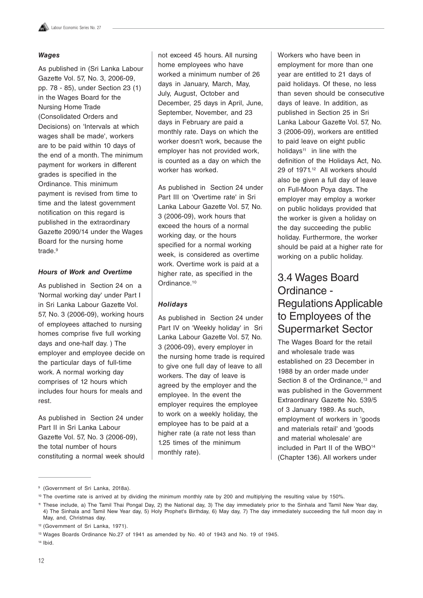#### **Wages**

As published in (Sri Lanka Labour Gazette Vol. 57, No. 3, 2006-09, pp. 78 - 85), under Section 23 (1) in the Wages Board for the Nursing Home Trade (Consolidated Orders and Decisions) on 'Intervals at which wages shall be made', workers are to be paid within 10 days of the end of a month. The minimum payment for workers in different grades is specified in the Ordinance. This minimum payment is revised from time to time and the latest government notification on this regard is published in the extraordinary Gazette 2090/14 under the Wages Board for the nursing home trade.<sup>9</sup>

#### **Hours of Work and Overtime**

As published in Section 24 on a 'Normal working day' under Part I in Sri Lanka Labour Gazette Vol. 57, No. 3 (2006-09), working hours of employees attached to nursing homes comprise five full working days and one-half day. ) The employer and employee decide on the particular days of full-time work. A normal working day comprises of 12 hours which includes four hours for meals and rest.

As published in Section 24 under Part II in Sri Lanka Labour Gazette Vol. 57, No. 3 (2006-09), the total number of hours constituting a normal week should not exceed 45 hours. All nursing home employees who have worked a minimum number of 26 days in January, March, May, July, August, October and December, 25 days in April, June, September, November, and 23 days in February are paid a monthly rate. Days on which the worker doesn't work, because the employer has not provided work, is counted as a day on which the worker has worked.

As published in Section 24 under Part III on 'Overtime rate' in Sri Lanka Labour Gazette Vol. 57, No. 3 (2006-09), work hours that exceed the hours of a normal working day, or the hours specified for a normal working week, is considered as overtime work. Overtime work is paid at a higher rate, as specified in the Ordinance.<sup>10</sup>

#### **Holidays**

As published in Section 24 under Part IV on 'Weekly holiday' in Sri Lanka Labour Gazette Vol. 57, No. 3 (2006-09), every employer in the nursing home trade is required to give one full day of leave to all workers. The day of leave is agreed by the employer and the employee. In the event the employer requires the employee to work on a weekly holiday, the employee has to be paid at a higher rate (a rate not less than 1.25 times of the minimum monthly rate).

Workers who have been in employment for more than one year are entitled to 21 days of paid holidays. Of these, no less than seven should be consecutive days of leave. In addition, as published in Section 25 in Sri Lanka Labour Gazette Vol. 57, No. 3 (2006-09), workers are entitled to paid leave on eight public holidays<sup>11</sup> in line with the definition of the Holidays Act, No. 29 of 1971.12 All workers should also be given a full day of leave on Full-Moon Poya days. The employer may employ a worker on public holidays provided that the worker is given a holiday on the day succeeding the public holiday. Furthermore, the worker should be paid at a higher rate for working on a public holiday.

## 3.4 Wages Board Ordinance - Regulations Applicable to Employees of the Supermarket Sector

The Wages Board for the retail and wholesale trade was established on 23 December in 1988 by an order made under Section 8 of the Ordinance.<sup>13</sup> and was published in the Government Extraordinary Gazette No. 539/5 of 3 January 1989. As such, employment of workers in 'goods and materials retail' and 'goods and material wholesale' are included in Part II of the WBO<sup>14</sup> (Chapter 136). All workers under

<sup>&</sup>lt;sup>9</sup> (Government of Sri Lanka, 2018a).

<sup>&</sup>lt;sup>10</sup> The overtime rate is arrived at by dividing the minimum monthly rate by 200 and multiplying the resulting value by 150%.

<sup>11</sup> These include, a) The Tamil Thai Pongal Day, 2) the National day, 3) The day immediately prior to the Sinhala and Tamil New Year day, 4) The Sinhala and Tamil New Year day, 5) Holy Prophet's Birthday, 6) May day, 7) The day immediately succeeding the full moon day in May, and, Christmas day.

<sup>12</sup> (Government of Sri Lanka, 1971).

<sup>&</sup>lt;sup>13</sup> Wages Boards Ordinance No.27 of 1941 as amended by No. 40 of 1943 and No. 19 of 1945.

<sup>14</sup> Ibid.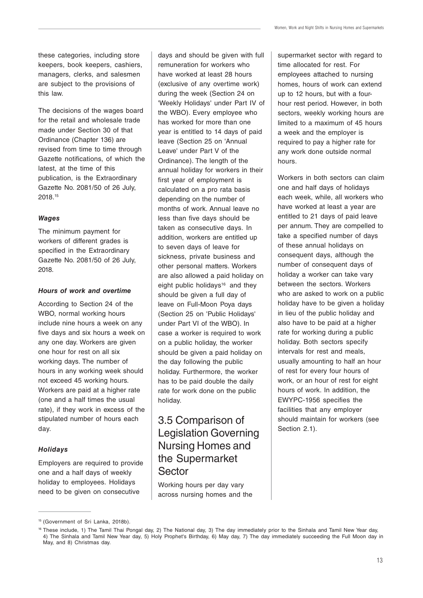these categories, including store keepers, book keepers, cashiers, managers, clerks, and salesmen are subject to the provisions of this law.

The decisions of the wages board for the retail and wholesale trade made under Section 30 of that Ordinance (Chapter 136) are revised from time to time through Gazette notifications, of which the latest, at the time of this publication, is the Extraordinary Gazette No. 2081/50 of 26 July, 2018.15

#### **Wages**

The minimum payment for workers of different grades is specified in the Extraordinary Gazette No. 2081/50 of 26 July, 2018.

#### **Hours of work and overtime**

According to Section 24 of the WBO, normal working hours include nine hours a week on any five days and six hours a week on any one day. Workers are given one hour for rest on all six working days. The number of hours in any working week should not exceed 45 working hours. Workers are paid at a higher rate (one and a half times the usual rate), if they work in excess of the stipulated number of hours each day.

#### **Holidays**

Employers are required to provide one and a half days of weekly holiday to employees. Holidays need to be given on consecutive

days and should be given with full remuneration for workers who have worked at least 28 hours (exclusive of any overtime work) during the week (Section 24 on 'Weekly Holidays' under Part IV of the WBO). Every employee who has worked for more than one year is entitled to 14 days of paid leave (Section 25 on 'Annual Leave' under Part V of the Ordinance). The length of the annual holiday for workers in their first year of employment is calculated on a pro rata basis depending on the number of months of work. Annual leave no less than five days should be taken as consecutive days. In addition, workers are entitled up to seven days of leave for sickness, private business and other personal matters. Workers are also allowed a paid holiday on eight public holidays<sup>16</sup> and they should be given a full day of leave on Full-Moon Poya days (Section 25 on 'Public Holidays' under Part VI of the WBO). In case a worker is required to work on a public holiday, the worker should be given a paid holiday on the day following the public holiday. Furthermore, the worker has to be paid double the daily rate for work done on the public holiday.

### 3.5 Comparison of Legislation Governing Nursing Homes and the Supermarket Sector

Working hours per day vary across nursing homes and the supermarket sector with regard to time allocated for rest. For employees attached to nursing homes, hours of work can extend up to 12 hours, but with a fourhour rest period. However, in both sectors, weekly working hours are limited to a maximum of 45 hours a week and the employer is required to pay a higher rate for any work done outside normal hours.

Workers in both sectors can claim one and half days of holidays each week, while, all workers who have worked at least a year are entitled to 21 days of paid leave per annum. They are compelled to take a specified number of days of these annual holidays on consequent days, although the number of consequent days of holiday a worker can take vary between the sectors. Workers who are asked to work on a public holiday have to be given a holiday in lieu of the public holiday and also have to be paid at a higher rate for working during a public holiday. Both sectors specify intervals for rest and meals, usually amounting to half an hour of rest for every four hours of work, or an hour of rest for eight hours of work. In addition, the EWYPC-1956 specifies the facilities that any employer should maintain for workers (see Section 2.1).

<sup>15</sup> (Government of Sri Lanka, 2018b).

<sup>16</sup> These include, 1) The Tamil Thai Pongal day, 2) The National day, 3) The day immediately prior to the Sinhala and Tamil New Year day, 4) The Sinhala and Tamil New Year day, 5) Holy Prophet's Birthday, 6) May day, 7) The day immediately succeeding the Full Moon day in May, and 8) Christmas day.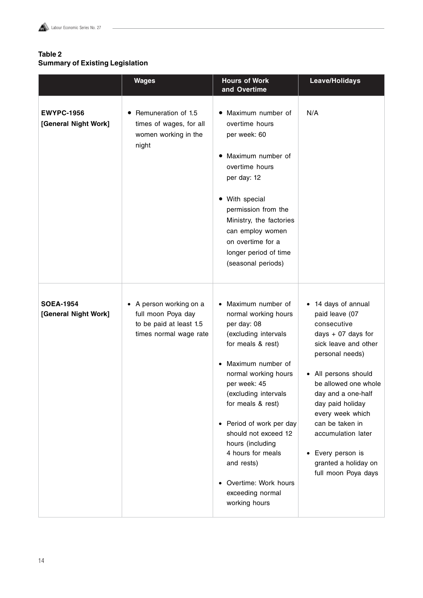#### **Table 2 Summary of Existing Legislation**

|                                           | <b>Wages</b>                                                                                       | <b>Hours of Work</b><br>and Overtime                                                                                                                                                                                                                                                                                                                                                                 | Leave/Holidays                                                                                                                                                                                                                                                                                                                               |
|-------------------------------------------|----------------------------------------------------------------------------------------------------|------------------------------------------------------------------------------------------------------------------------------------------------------------------------------------------------------------------------------------------------------------------------------------------------------------------------------------------------------------------------------------------------------|----------------------------------------------------------------------------------------------------------------------------------------------------------------------------------------------------------------------------------------------------------------------------------------------------------------------------------------------|
| <b>EWYPC-1956</b><br>[General Night Work] | Remuneration of 1.5<br>times of wages, for all<br>women working in the<br>night                    | Maximum number of<br>$\bullet$<br>overtime hours<br>per week: 60<br>Maximum number of<br>overtime hours<br>per day: 12<br>• With special<br>permission from the<br>Ministry, the factories<br>can employ women<br>on overtime for a<br>longer period of time<br>(seasonal periods)                                                                                                                   | N/A                                                                                                                                                                                                                                                                                                                                          |
| <b>SOEA-1954</b><br>[General Night Work]  | • A person working on a<br>full moon Poya day<br>to be paid at least 1.5<br>times normal wage rate | • Maximum number of<br>normal working hours<br>per day: 08<br>(excluding intervals<br>for meals & rest)<br>Maximum number of<br>normal working hours<br>per week: 45<br>(excluding intervals<br>for meals & rest)<br>Period of work per day<br>$\bullet$<br>should not exceed 12<br>hours (including<br>4 hours for meals<br>and rests)<br>Overtime: Work hours<br>exceeding normal<br>working hours | 14 days of annual<br>paid leave (07<br>consecutive<br>days $+$ 07 days for<br>sick leave and other<br>personal needs)<br>All persons should<br>be allowed one whole<br>day and a one-half<br>day paid holiday<br>every week which<br>can be taken in<br>accumulation later<br>Every person is<br>granted a holiday on<br>full moon Poya days |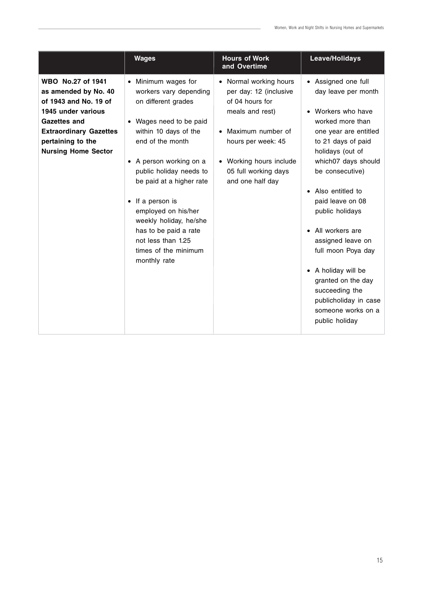|                                                                                                                                                                                                     | <b>Wages</b>                                                                                                                                                                                                                                                                                                                                                                                        | <b>Hours of Work</b><br>and Overtime                                                                                                                                                                                | Leave/Holidays                                                                                                                                                                                                                                                                                                                                                                                                                                                            |
|-----------------------------------------------------------------------------------------------------------------------------------------------------------------------------------------------------|-----------------------------------------------------------------------------------------------------------------------------------------------------------------------------------------------------------------------------------------------------------------------------------------------------------------------------------------------------------------------------------------------------|---------------------------------------------------------------------------------------------------------------------------------------------------------------------------------------------------------------------|---------------------------------------------------------------------------------------------------------------------------------------------------------------------------------------------------------------------------------------------------------------------------------------------------------------------------------------------------------------------------------------------------------------------------------------------------------------------------|
| WBO No.27 of 1941<br>as amended by No. 40<br>of 1943 and No. 19 of<br>1945 under various<br><b>Gazettes and</b><br><b>Extraordinary Gazettes</b><br>pertaining to the<br><b>Nursing Home Sector</b> | • Minimum wages for<br>workers vary depending<br>on different grades<br>Wages need to be paid<br>within 10 days of the<br>end of the month<br>• A person working on a<br>public holiday needs to<br>be paid at a higher rate<br>If a person is<br>$\bullet$<br>employed on his/her<br>weekly holiday, he/she<br>has to be paid a rate<br>not less than 1.25<br>times of the minimum<br>monthly rate | • Normal working hours<br>per day: 12 (inclusive<br>of 04 hours for<br>meals and rest)<br>Maximum number of<br>hours per week: 45<br>Working hours include<br>$\bullet$<br>05 full working days<br>and one half day | • Assigned one full<br>day leave per month<br>• Workers who have<br>worked more than<br>one year are entitled<br>to 21 days of paid<br>holidays (out of<br>which07 days should<br>be consecutive)<br>• Also entitled to<br>paid leave on 08<br>public holidays<br>All workers are<br>$\bullet$<br>assigned leave on<br>full moon Poya day<br>• A holiday will be<br>granted on the day<br>succeeding the<br>publicholiday in case<br>someone works on a<br>public holiday |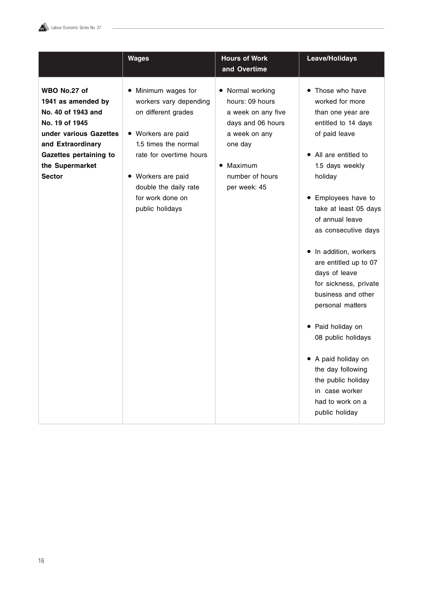

|                                                                                                                                                                                         | <b>Wages</b>                                                                                                                                                                                                                                   | <b>Hours of Work</b><br>and Overtime                                                                                                                                  | Leave/Holidays                                                                                                                                                                                                                                                                                                                                                                                                                                                                                                                                                                         |
|-----------------------------------------------------------------------------------------------------------------------------------------------------------------------------------------|------------------------------------------------------------------------------------------------------------------------------------------------------------------------------------------------------------------------------------------------|-----------------------------------------------------------------------------------------------------------------------------------------------------------------------|----------------------------------------------------------------------------------------------------------------------------------------------------------------------------------------------------------------------------------------------------------------------------------------------------------------------------------------------------------------------------------------------------------------------------------------------------------------------------------------------------------------------------------------------------------------------------------------|
| WBO No.27 of<br>1941 as amended by<br>No. 40 of 1943 and<br>No. 19 of 1945<br>under various Gazettes<br>and Extraordinary<br>Gazettes pertaining to<br>the Supermarket<br><b>Sector</b> | Minimum wages for<br>$\bullet$<br>workers vary depending<br>on different grades<br>• Workers are paid<br>1.5 times the normal<br>rate for overtime hours<br>• Workers are paid<br>double the daily rate<br>for work done on<br>public holidays | • Normal working<br>hours: 09 hours<br>a week on any five<br>days and 06 hours<br>a week on any<br>one day<br>Maximum<br>$\bullet$<br>number of hours<br>per week: 45 | Those who have<br>٠<br>worked for more<br>than one year are<br>entitled to 14 days<br>of paid leave<br>• All are entitled to<br>1.5 days weekly<br>holiday<br>Employees have to<br>$\bullet$<br>take at least 05 days<br>of annual leave<br>as consecutive days<br>In addition, workers<br>$\bullet$<br>are entitled up to 07<br>days of leave<br>for sickness, private<br>business and other<br>personal matters<br>• Paid holiday on<br>08 public holidays<br>• A paid holiday on<br>the day following<br>the public holiday<br>in case worker<br>had to work on a<br>public holiday |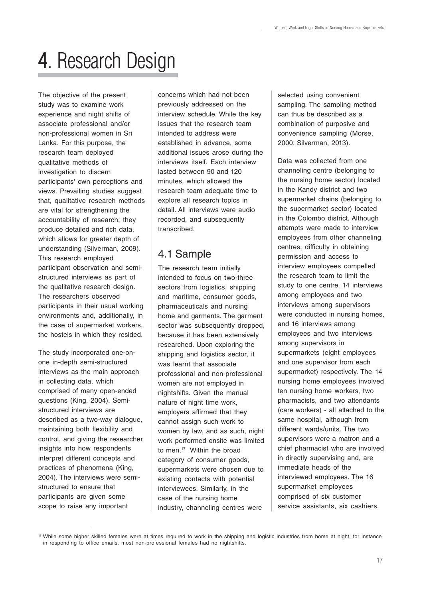## 4. Research Design

The objective of the present study was to examine work experience and night shifts of associate professional and/or non-professional women in Sri Lanka. For this purpose, the research team deployed qualitative methods of investigation to discern participants' own perceptions and views. Prevailing studies suggest that, qualitative research methods are vital for strengthening the accountability of research; they produce detailed and rich data, which allows for greater depth of understanding (Silverman, 2009). This research employed participant observation and semistructured interviews as part of the qualitative research design. The researchers observed participants in their usual working environments and, additionally, in the case of supermarket workers, the hostels in which they resided.

The study incorporated one-onone in-depth semi-structured interviews as the main approach in collecting data, which comprised of many open-ended questions (King, 2004). Semistructured interviews are described as a two-way dialogue, maintaining both flexibility and control, and giving the researcher insights into how respondents interpret different concepts and practices of phenomena (King, 2004). The interviews were semistructured to ensure that participants are given some scope to raise any important

concerns which had not been previously addressed on the interview schedule. While the key issues that the research team intended to address were established in advance, some additional issues arose during the interviews itself. Each interview lasted between 90 and 120 minutes, which allowed the research team adequate time to explore all research topics in detail. All interviews were audio recorded, and subsequently transcribed.

## 4.1 Sample

The research team initially intended to focus on two-three sectors from logistics, shipping and maritime, consumer goods, pharmaceuticals and nursing home and garments. The garment sector was subsequently dropped, because it has been extensively researched. Upon exploring the shipping and logistics sector, it was learnt that associate professional and non-professional women are not employed in nightshifts. Given the manual nature of night time work, employers affirmed that they cannot assign such work to women by law, and as such, night work performed onsite was limited to men.17 Within the broad category of consumer goods, supermarkets were chosen due to existing contacts with potential interviewees. Similarly, in the case of the nursing home industry, channeling centres were

selected using convenient sampling. The sampling method can thus be described as a combination of purposive and convenience sampling (Morse, 2000; Silverman, 2013).

Data was collected from one channeling centre (belonging to the nursing home sector) located in the Kandy district and two supermarket chains (belonging to the supermarket sector) located in the Colombo district. Although attempts were made to interview employees from other channeling centres, difficulty in obtaining permission and access to interview employees compelled the research team to limit the study to one centre. 14 interviews among employees and two interviews among supervisors were conducted in nursing homes, and 16 interviews among employees and two interviews among supervisors in supermarkets (eight employees and one supervisor from each supermarket) respectively. The 14 nursing home employees involved ten nursing home workers, two pharmacists, and two attendants (care workers) - all attached to the same hospital, although from different wards/units. The two supervisors were a matron and a chief pharmacist who are involved in directly supervising and, are immediate heads of the interviewed employees. The 16 supermarket employees comprised of six customer service assistants, six cashiers,

<sup>&</sup>lt;sup>17</sup> While some higher skilled females were at times required to work in the shipping and logistic industries from home at night, for instance in responding to office emails, most non-professional females had no nightshifts.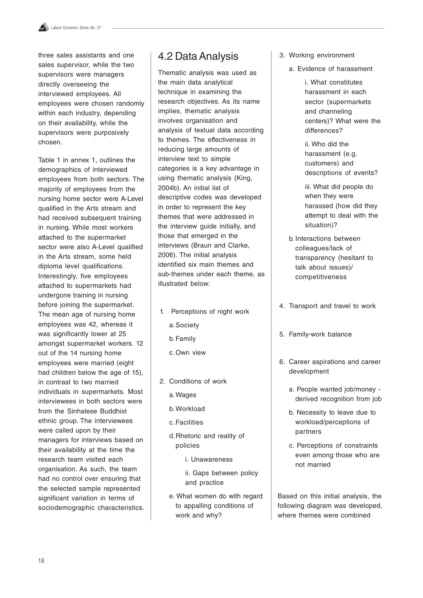three sales assistants and one sales supervisor, while the two supervisors were managers directly overseeing the interviewed employees. All employees were chosen randomly within each industry, depending on their availability, while the supervisors were purposively chosen.

Table 1 in annex 1, outlines the demographics of interviewed employees from both sectors. The majority of employees from the nursing home sector were A-Level qualified in the Arts stream and had received subsequent training in nursing. While most workers attached to the supermarket sector were also A-Level qualified in the Arts stream, some held diploma level qualifications. Interestingly, five employees attached to supermarkets had undergone training in nursing before joining the supermarket. The mean age of nursing home employees was 42, whereas it was significantly lower at 25 amongst supermarket workers. 12 out of the 14 nursing home employees were married (eight had children below the age of 15), in contrast to two married individuals in supermarkets. Most interviewees in both sectors were from the Sinhalese Buddhist ethnic group. The interviewees were called upon by their managers for interviews based on their availability at the time the research team visited each organisation. As such, the team had no control over ensuring that the selected sample represented significant variation in terms of sociodemographic characteristics.

### 4.2 Data Analysis

Thematic analysis was used as the main data analytical technique in examining the research objectives. As its name implies, thematic analysis involves organisation and analysis of textual data according to themes. The effectiveness in reducing large amounts of interview text to simple categories is a key advantage in using thematic analysis (King, 2004b). An initial list of descriptive codes was developed in order to represent the key themes that were addressed in the interview guide initially, and those that emerged in the interviews (Braun and Clarke, 2006). The initial analysis identified six main themes and sub-themes under each theme, as illustrated below:

- 1. Perceptions of night work
	- a.Society
	- b. Family
	- c.Own view
- 2. Conditions of work
	- a.Wages
	- b. Workload
	- c.Facilities
	- d.Rhetoric and reality of policies
		- i. Unawareness
		- ii. Gaps between policy and practice
	- e. What women do with regard to appalling conditions of work and why?
- 3. Working environment
	- a. Evidence of harassment

i. What constitutes harassment in each sector (supermarkets and channeling centers)? What were the differences?

ii. Who did the harassment (e.g. customers) and descriptions of events?

iii. What did people do when they were harassed (how did they attempt to deal with the situation)?

- b. Interactions between colleagues/lack of transparency (hesitant to talk about issues)/ competitiveness
- 4. Transport and travel to work
- 5. Family-work balance
- 6. Career aspirations and career development
	- a. People wanted job/money derived recognition from job
	- b. Necessity to leave due to workload/perceptions of partners
	- c. Perceptions of constraints even among those who are not married

Based on this initial analysis, the following diagram was developed, where themes were combined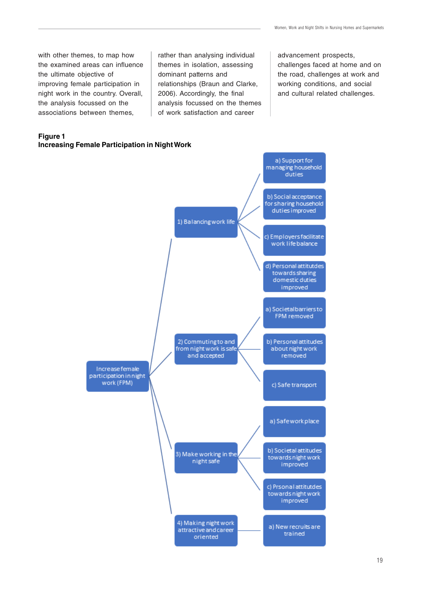with other themes, to map how the examined areas can influence the ultimate objective of improving female participation in night work in the country. Overall, the analysis focussed on the associations between themes,

#### themes in isolation, assessing dominant patterns and relationships (Braun and Clarke, 2006). Accordingly, the final analysis focussed on the themes of work satisfaction and career

rather than analysing individual

advancement prospects, challenges faced at home and on the road, challenges at work and working conditions, and social and cultural related challenges.

#### **Figure 1 Increasing Female Participation in Night Work**

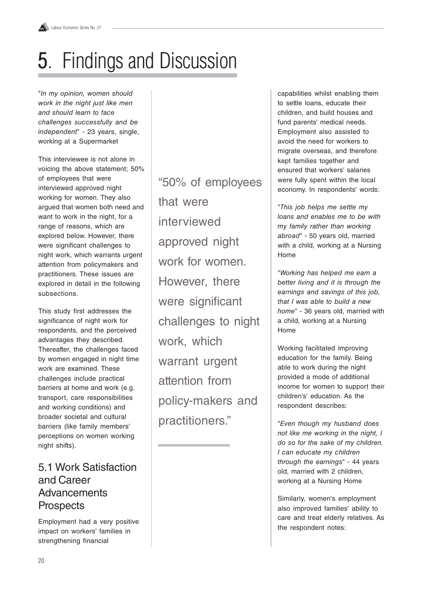## **5.** Findings and Discussion

"In my opinion, women should work in the night just like men and should learn to face challenges successfully and be independent" - 23 years, single, working at a Supermarket

This interviewee is not alone in voicing the above statement; 50% of employees that were interviewed approved night working for women. They also argued that women both need and want to work in the night, for a range of reasons, which are explored below. However, there were significant challenges to night work, which warrants urgent attention from policymakers and practitioners. These issues are explored in detail in the following subsections.

This study first addresses the significance of night work for respondents, and the perceived advantages they described. Thereafter, the challenges faced by women engaged in night time work are examined. These challenges include practical barriers at home and work (e.g. transport, care responsibilities and working conditions) and broader societal and cultural barriers (like family members' perceptions on women working night shifts).

## 5.1 Work Satisfaction and Career **Advancements Prospects**

Employment had a very positive impact on workers' families in strengthening financial

"50% of employees that were interviewed approved night work for women. However, there were significant challenges to night work, which warrant urgent attention from policy-makers and practitioners."

capabilities whilst enabling them to settle loans, educate their children, and build houses and fund parents' medical needs. Employment also assisted to avoid the need for workers to migrate overseas, and therefore kept families together and ensured that workers' salaries were fully spent within the local economy. In respondents' words:

"This job helps me settle my loans and enables me to be with my family rather than working abroad" - 50 years old, married with a child, working at a Nursing Home

"Working has helped me earn a better living and it is through the earnings and savings of this job, that I was able to build a new home" - 36 years old, married with a child, working at a Nursing Home

Working facilitated improving education for the family. Being able to work during the night provided a mode of additional income for women to support their children's' education. As the respondent describes:

"Even though my husband does not like me working in the night, I do so for the sake of my children. I can educate my children through the earnings" - 44 years old, married with 2 children, working at a Nursing Home

Similarly, women's employment also improved families' ability to care and treat elderly relatives. As the respondent notes: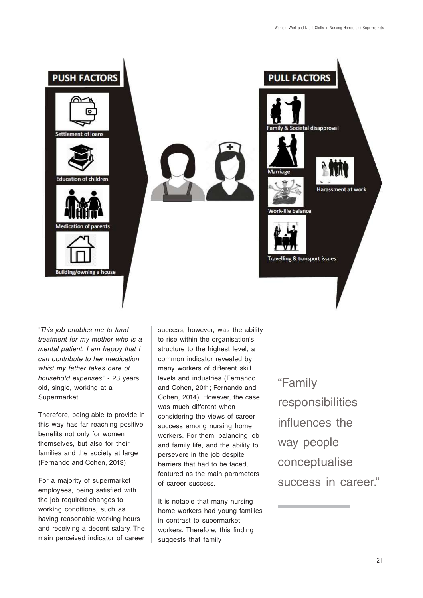

"This job enables me to fund treatment for my mother who is a mental patient. I am happy that I can contribute to her medication whist my father takes care of household expenses" - 23 years old, single, working at a Supermarket

Therefore, being able to provide in this way has far reaching positive benefits not only for women themselves, but also for their families and the society at large (Fernando and Cohen, 2013).

For a majority of supermarket employees, being satisfied with the job required changes to working conditions, such as having reasonable working hours and receiving a decent salary. The main perceived indicator of career success, however, was the ability to rise within the organisation's structure to the highest level, a common indicator revealed by many workers of different skill levels and industries (Fernando and Cohen, 2011; Fernando and Cohen, 2014). However, the case was much different when considering the views of career success among nursing home workers. For them, balancing job and family life, and the ability to persevere in the job despite barriers that had to be faced, featured as the main parameters of career success.

It is notable that many nursing home workers had young families in contrast to supermarket workers. Therefore, this finding suggests that family

"Family responsibilities influences the way people conceptualise success in career."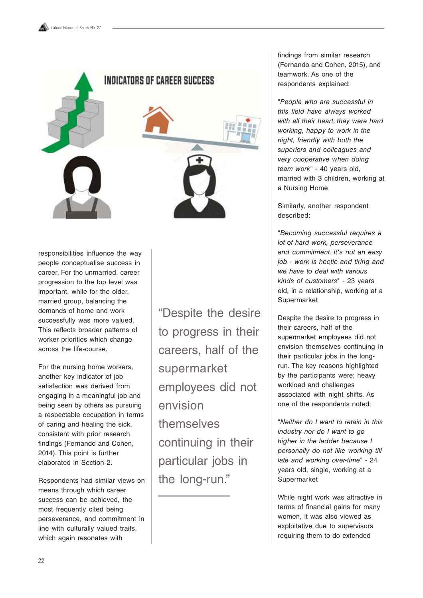

responsibilities influence the way people conceptualise success in career. For the unmarried, career progression to the top level was important, while for the older, married group, balancing the demands of home and work successfully was more valued. This reflects broader patterns of worker priorities which change across the life-course.

For the nursing home workers, another key indicator of job satisfaction was derived from engaging in a meaningful job and being seen by others as pursuing a respectable occupation in terms of caring and healing the sick, consistent with prior research findings (Fernando and Cohen, 2014). This point is further elaborated in Section 2.

Respondents had similar views on means through which career success can be achieved, the most frequently cited being perseverance, and commitment in line with culturally valued traits, which again resonates with

"Despite the desire to progress in their careers, half of the supermarket employees did not envision themselves continuing in their particular jobs in the long-run."

findings from similar research (Fernando and Cohen, 2015), and teamwork. As one of the respondents explained:

"People who are successful in this field have always worked with all their heart, they were hard working, happy to work in the night, friendly with both the superiors and colleagues and very cooperative when doing team work" - 40 years old, married with 3 children, working at a Nursing Home

Similarly, another respondent described:

"Becoming successful requires a lot of hard work, perseverance and commitment. It's not an easy job - work is hectic and tiring and we have to deal with various kinds of customers" - 23 years old, in a relationship, working at a Supermarket

Despite the desire to progress in their careers, half of the supermarket employees did not envision themselves continuing in their particular jobs in the longrun. The key reasons highlighted by the participants were; heavy workload and challenges associated with night shifts. As one of the respondents noted:

"Neither do I want to retain in this industry nor do I want to go higher in the ladder because I personally do not like working till late and working over-time" - 24 years old, single, working at a Supermarket

While night work was attractive in terms of financial gains for many women, it was also viewed as exploitative due to supervisors requiring them to do extended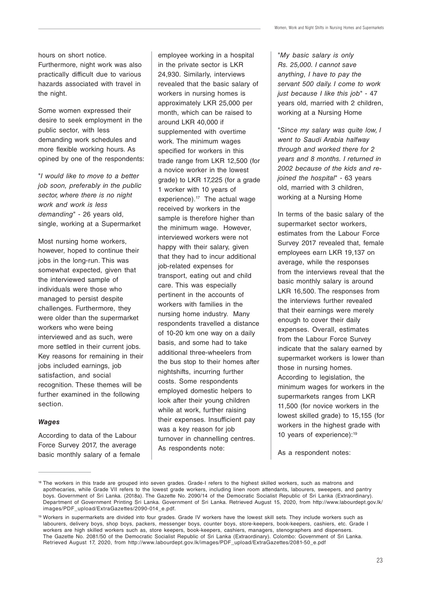hours on short notice.

Furthermore, night work was also practically difficult due to various hazards associated with travel in the night.

Some women expressed their desire to seek employment in the public sector, with less demanding work schedules and more flexible working hours. As opined by one of the respondents:

"I would like to move to a better job soon, preferably in the public sector, where there is no night work and work is less demanding" - 26 years old, single, working at a Supermarket

Most nursing home workers, however, hoped to continue their jobs in the long-run. This was somewhat expected, given that the interviewed sample of individuals were those who managed to persist despite challenges. Furthermore, they were older than the supermarket workers who were being interviewed and as such, were more settled in their current jobs. Key reasons for remaining in their jobs included earnings, job satisfaction, and social recognition. These themes will be further examined in the following section.

#### **Wages**

According to data of the Labour Force Survey 2017, the average basic monthly salary of a female employee working in a hospital in the private sector is LKR 24,930. Similarly, interviews revealed that the basic salary of workers in nursing homes is approximately LKR 25,000 per month, which can be raised to around LKR 40,000 if supplemented with overtime work. The minimum wages specified for workers in this trade range from LKR 12,500 (for a novice worker in the lowest grade) to LKR 17,225 (for a grade 1 worker with 10 years of experience).<sup>17</sup> The actual wage received by workers in the sample is therefore higher than the minimum wage. However, interviewed workers were not happy with their salary, given that they had to incur additional job-related expenses for transport, eating out and child care. This was especially pertinent in the accounts of workers with families in the nursing home industry. Many respondents travelled a distance of 10-20 km one way on a daily basis, and some had to take additional three-wheelers from the bus stop to their homes after nightshifts, incurring further costs. Some respondents employed domestic helpers to look after their young children while at work, further raising their expenses. Insufficient pay was a key reason for job turnover in channelling centres. As respondents note:

"My basic salary is only Rs. 25,000. I cannot save anything, I have to pay the servant 500 daily. I come to work just because I like this job" - 47 years old, married with 2 children, working at a Nursing Home

"Since my salary was quite low, I went to Saudi Arabia halfway through and worked there for 2 years and 8 months. I returned in 2002 because of the kids and rejoined the hospital" - 63 years old, married with 3 children, working at a Nursing Home

In terms of the basic salary of the supermarket sector workers, estimates from the Labour Force Survey 2017 revealed that, female employees earn LKR 19,137 on average, while the responses from the interviews reveal that the basic monthly salary is around LKR 16,500. The responses from the interviews further revealed that their earnings were merely enough to cover their daily expenses. Overall, estimates from the Labour Force Survey indicate that the salary earned by supermarket workers is lower than those in nursing homes. According to legislation, the minimum wages for workers in the supermarkets ranges from LKR 11,500 (for novice workers in the lowest skilled grade) to 15,155 (for workers in the highest grade with 10 years of experience):19

As a respondent notes:

<sup>&</sup>lt;sup>18</sup> The workers in this trade are grouped into seven grades. Grade-I refers to the highest skilled workers, such as matrons and apothecaries, while Grade VII refers to the lowest grade workers, including linen room attendants, labourers, sweepers, and pantry boys. Government of Sri Lanka. (2018a). The Gazette No. 2090/14 of the Democratic Socialist Republic of Sri Lanka (Extraordinary). Department of Government Printing Sri Lanka. Government of Sri Lanka. Retrieved August 15, 2020, from http://www.labourdept.gov.lk/ images/PDF\_upload/ExtraGazettes/2090-014\_e.pdf.

<sup>19</sup> Workers in supermarkets are divided into four grades. Grade IV workers have the lowest skill sets. They include workers such as labourers, delivery boys, shop boys, packers, messenger boys, counter boys, store-keepers, book-keepers, cashiers, etc. Grade I workers are high skilled workers such as, store keepers, book-keepers, cashiers, managers, stenographers and dispensers. The Gazette No. 2081/50 of the Democratic Socialist Republic of Sri Lanka (Extraordinary). Colombo: Government of Sri Lanka. Retrieved August 17, 2020, from http://www.labourdept.gov.lk/images/PDF\_upload/ExtraGazettes/2081-50\_e.pdf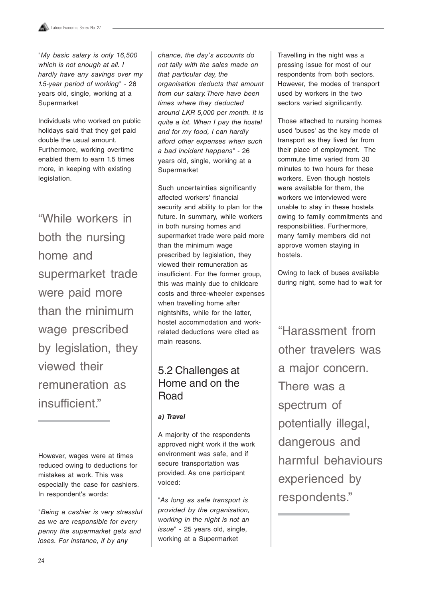"My basic salary is only 16,500 which is not enough at all. I hardly have any savings over my 1.5-year period of working" - 26 years old, single, working at a Supermarket

Individuals who worked on public holidays said that they get paid double the usual amount. Furthermore, working overtime enabled them to earn 1.5 times more, in keeping with existing legislation.

"While workers in both the nursing home and supermarket trade were paid more than the minimum wage prescribed by legislation, they viewed their remuneration as insufficient."

However, wages were at times reduced owing to deductions for mistakes at work. This was especially the case for cashiers. In respondent's words:

"Being a cashier is very stressful as we are responsible for every penny the supermarket gets and loses. For instance, if by any

chance, the day's accounts do not tally with the sales made on that particular day, the organisation deducts that amount from our salary. There have been times where they deducted around LKR 5,000 per month. It is quite a lot. When I pay the hostel and for my food, I can hardly afford other expenses when such a bad incident happens" - 26 years old, single, working at a Supermarket

Such uncertainties significantly affected workers' financial security and ability to plan for the future. In summary, while workers in both nursing homes and supermarket trade were paid more than the minimum wage prescribed by legislation, they viewed their remuneration as insufficient. For the former group, this was mainly due to childcare costs and three-wheeler expenses when travelling home after nightshifts, while for the latter, hostel accommodation and workrelated deductions were cited as main reasons.

## 5.2 Challenges at Home and on the Road

#### **a) Travel**

A majority of the respondents approved night work if the work environment was safe, and if secure transportation was provided. As one participant voiced:

"As long as safe transport is provided by the organisation, working in the night is not an issue" - 25 years old, single, working at a Supermarket

Travelling in the night was a pressing issue for most of our respondents from both sectors. However, the modes of transport used by workers in the two sectors varied significantly.

Those attached to nursing homes used 'buses' as the key mode of transport as they lived far from their place of employment. The commute time varied from 30 minutes to two hours for these workers. Even though hostels were available for them, the workers we interviewed were unable to stay in these hostels owing to family commitments and responsibilities. Furthermore, many family members did not approve women staying in hostels.

Owing to lack of buses available during night, some had to wait for

"Harassment from other travelers was a major concern. There was a spectrum of potentially illegal, dangerous and harmful behaviours experienced by respondents."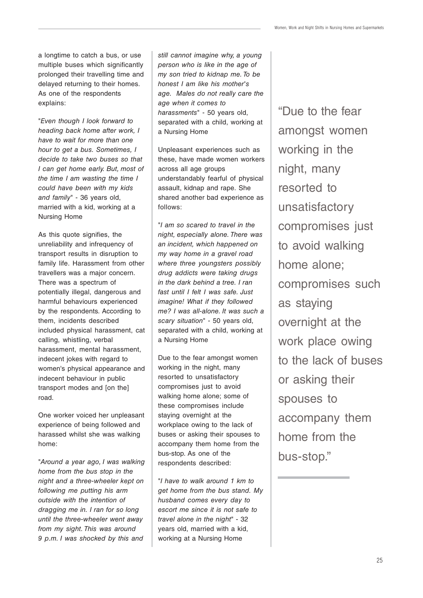a longtime to catch a bus, or use multiple buses which significantly prolonged their travelling time and delayed returning to their homes. As one of the respondents explains:

"Even though I look forward to heading back home after work, I have to wait for more than one hour to get a bus. Sometimes, I decide to take two buses so that I can get home early. But, most of the time I am wasting the time I could have been with my kids and family" - 36 years old, married with a kid, working at a Nursing Home

As this quote signifies, the unreliability and infrequency of transport results in disruption to family life. Harassment from other travellers was a major concern. There was a spectrum of potentially illegal, dangerous and harmful behaviours experienced by the respondents. According to them, incidents described included physical harassment, cat calling, whistling, verbal harassment, mental harassment, indecent jokes with regard to women's physical appearance and indecent behaviour in public transport modes and [on the] road.

One worker voiced her unpleasant experience of being followed and harassed whilst she was walking home:

"Around a year ago, I was walking home from the bus stop in the night and a three-wheeler kept on following me putting his arm outside with the intention of dragging me in. I ran for so long until the three-wheeler went away from my sight. This was around 9 p.m. I was shocked by this and

still cannot imagine why, a young person who is like in the age of my son tried to kidnap me. To be honest I am like his mother's age. Males do not really care the age when it comes to harassments" - 50 years old, separated with a child, working at a Nursing Home

Unpleasant experiences such as these, have made women workers across all age groups understandably fearful of physical assault, kidnap and rape. She shared another bad experience as follows:

"I am so scared to travel in the night, especially alone. There was an incident, which happened on my way home in a gravel road where three youngsters possibly drug addicts were taking drugs in the dark behind a tree. I ran fast until I felt I was safe. Just imagine! What if they followed me? I was all-alone. It was such a scary situation" - 50 years old, separated with a child, working at a Nursing Home

Due to the fear amongst women working in the night, many resorted to unsatisfactory compromises just to avoid walking home alone; some of these compromises include staying overnight at the workplace owing to the lack of buses or asking their spouses to accompany them home from the bus-stop. As one of the respondents described:

"I have to walk around 1 km to get home from the bus stand. My husband comes every day to escort me since it is not safe to travel alone in the night" - 32 years old, married with a kid, working at a Nursing Home

"Due to the fear amongst women working in the night, many resorted to unsatisfactory compromises just to avoid walking home alone; compromises such as staying overnight at the work place owing to the lack of buses or asking their spouses to accompany them home from the bus-stop."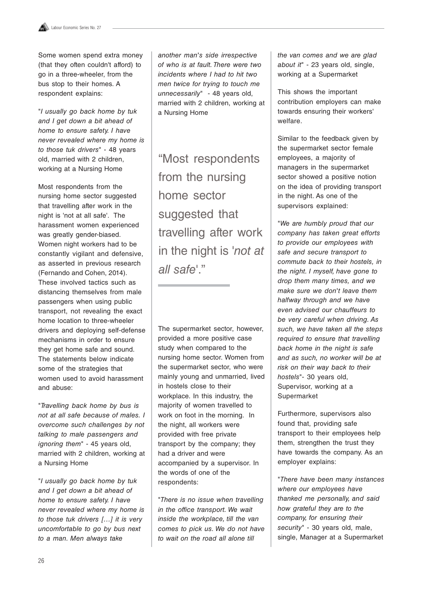Some women spend extra money (that they often couldn't afford) to go in a three-wheeler, from the bus stop to their homes. A respondent explains:

"I usually go back home by tuk and I get down a bit ahead of home to ensure safety. I have never revealed where my home is to those tuk drivers" - 48 years old, married with 2 children, working at a Nursing Home

Most respondents from the nursing home sector suggested that travelling after work in the night is 'not at all safe'. The harassment women experienced was greatly gender-biased. Women night workers had to be constantly vigilant and defensive, as asserted in previous research (Fernando and Cohen, 2014). These involved tactics such as distancing themselves from male passengers when using public transport, not revealing the exact home location to three-wheeler drivers and deploying self-defense mechanisms in order to ensure they get home safe and sound. The statements below indicate some of the strategies that women used to avoid harassment and abuse:

"Travelling back home by bus is not at all safe because of males. I overcome such challenges by not talking to male passengers and ignoring them" - 45 years old, married with 2 children, working at a Nursing Home

"I usually go back home by tuk and I get down a bit ahead of home to ensure safety. I have never revealed where my home is to those tuk drivers […] it is very uncomfortable to go by bus next to a man. Men always take

another man's side irrespective of who is at fault. There were two incidents where I had to hit two men twice for trying to touch me unnecessarily" - 48 years old, married with 2 children, working at a Nursing Home

"Most respondents from the nursing home sector suggested that travelling after work in the night is 'not at all safe'."

The supermarket sector, however, provided a more positive case study when compared to the nursing home sector. Women from the supermarket sector, who were mainly young and unmarried, lived in hostels close to their workplace. In this industry, the majority of women travelled to work on foot in the morning. In the night, all workers were provided with free private transport by the company; they had a driver and were accompanied by a supervisor. In the words of one of the respondents:

"There is no issue when travelling in the office transport. We wait inside the workplace, till the van comes to pick us. We do not have to wait on the road all alone till

the van comes and we are glad about it" - 23 years old, single, working at a Supermarket

This shows the important contribution employers can make towards ensuring their workers' welfare.

Similar to the feedback given by the supermarket sector female employees, a majority of managers in the supermarket sector showed a positive notion on the idea of providing transport in the night. As one of the supervisors explained:

"We are humbly proud that our company has taken great efforts to provide our employees with safe and secure transport to commute back to their hostels, in the night. I myself, have gone to drop them many times, and we make sure we don't leave them halfway through and we have even advised our chauffeurs to be very careful when driving. As such, we have taken all the steps required to ensure that travelling back home in the night is safe and as such, no worker will be at risk on their way back to their hostels"- 30 years old, Supervisor, working at a Supermarket

Furthermore, supervisors also found that, providing safe transport to their employees help them, strengthen the trust they have towards the company. As an employer explains:

"There have been many instances where our employees have thanked me personally, and said how grateful they are to the company, for ensuring their security" - 30 years old, male, single, Manager at a Supermarket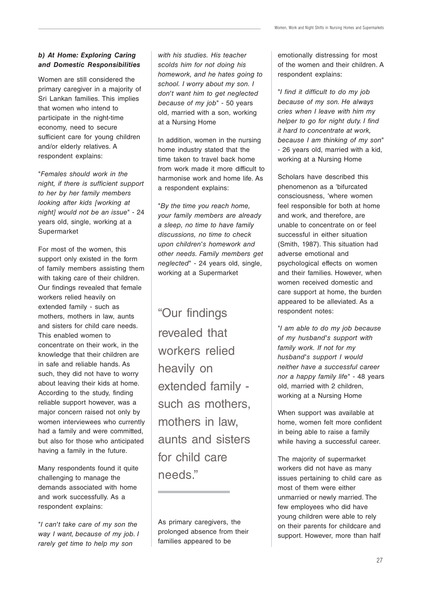#### **b) At Home: Exploring Caring and Domestic Responsibilities**

Women are still considered the primary caregiver in a majority of Sri Lankan families. This implies that women who intend to participate in the night-time economy, need to secure sufficient care for young children and/or elderly relatives. A respondent explains:

"Females should work in the night, if there is sufficient support to her by her family members looking after kids [working at night] would not be an issue" - 24 years old, single, working at a Supermarket

For most of the women, this support only existed in the form of family members assisting them with taking care of their children. Our findings revealed that female workers relied heavily on extended family - such as mothers, mothers in law, aunts and sisters for child care needs. This enabled women to concentrate on their work, in the knowledge that their children are in safe and reliable hands. As such, they did not have to worry about leaving their kids at home. According to the study, finding reliable support however, was a major concern raised not only by women interviewees who currently had a family and were committed, but also for those who anticipated having a family in the future.

Many respondents found it quite challenging to manage the demands associated with home and work successfully. As a respondent explains:

"I can't take care of my son the way I want, because of my job. I rarely get time to help my son

with his studies. His teacher scolds him for not doing his homework, and he hates going to school. I worry about my son. I don't want him to get neglected because of my job" - 50 years old, married with a son, working at a Nursing Home

In addition, women in the nursing home industry stated that the time taken to travel back home from work made it more difficult to harmonise work and home life. As a respondent explains:

"By the time you reach home, your family members are already a sleep, no time to have family discussions, no time to check upon children's homework and other needs. Family members get neglected" - 24 years old, single, working at a Supermarket

"Our findings revealed that workers relied heavily on extended family such as mothers, mothers in law, aunts and sisters for child care needs."

As primary caregivers, the prolonged absence from their families appeared to be

emotionally distressing for most of the women and their children. A respondent explains:

"I find it difficult to do my job because of my son. He always cries when I leave with him my helper to go for night duty. I find it hard to concentrate at work, because I am thinking of my son" - 26 years old, married with a kid, working at a Nursing Home

Scholars have described this phenomenon as a 'bifurcated consciousness, 'where women feel responsible for both at home and work, and therefore, are unable to concentrate on or feel successful in either situation (Smith, 1987). This situation had adverse emotional and psychological effects on women and their families. However, when women received domestic and care support at home, the burden appeared to be alleviated. As a respondent notes:

"I am able to do my job because of my husband's support with family work. If not for my husband's support I would neither have a successful career nor a happy family life" - 48 years old, married with 2 children, working at a Nursing Home

When support was available at home, women felt more confident in being able to raise a family while having a successful career.

The majority of supermarket workers did not have as many issues pertaining to child care as most of them were either unmarried or newly married. The few employees who did have young children were able to rely on their parents for childcare and support. However, more than half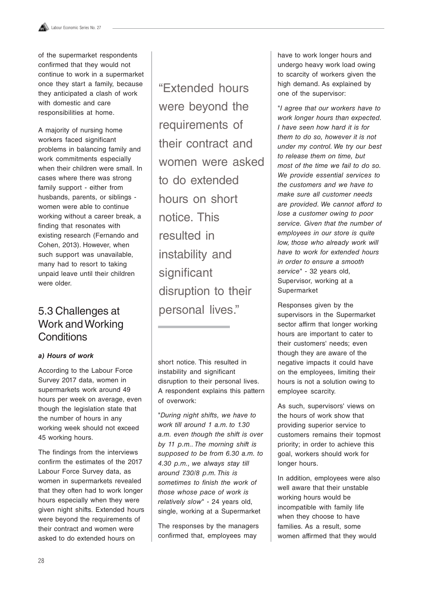of the supermarket respondents confirmed that they would not continue to work in a supermarket once they start a family, because they anticipated a clash of work with domestic and care responsibilities at home.

A majority of nursing home workers faced significant problems in balancing family and work commitments especially when their children were small. In cases where there was strong family support - either from husbands, parents, or siblings women were able to continue working without a career break, a finding that resonates with existing research (Fernando and Cohen, 2013). However, when such support was unavailable, many had to resort to taking unpaid leave until their children were older.

## Work and Working **Conditions**

#### **a) Hours of work**

According to the Labour Force Survey 2017 data, women in supermarkets work around 49 hours per week on average, even though the legislation state that the number of hours in any working week should not exceed 45 working hours.

The findings from the interviews confirm the estimates of the 2017 Labour Force Survey data, as women in supermarkets revealed that they often had to work longer hours especially when they were given night shifts. Extended hours were beyond the requirements of their contract and women were asked to do extended hours on

"Extended hours were beyond the requirements of their contract and women were asked to do extended hours on short notice. This resulted in instability and significant disruption to their 5.3 Challenges at personal lives."

> short notice. This resulted in instability and significant disruption to their personal lives. A respondent explains this pattern of overwork:

> "During night shifts, we have to work till around 1 a.m. to 1.30 a.m. even though the shift is over by 11 p.m.. The morning shift is supposed to be from 6.30 a.m. to 4.30 p.m., we always stay till around 7.30/8 p.m. This is sometimes to finish the work of those whose pace of work is relatively slow" - 24 years old, single, working at a Supermarket

The responses by the managers confirmed that, employees may

have to work longer hours and undergo heavy work load owing to scarcity of workers given the high demand. As explained by one of the supervisor:

"I agree that our workers have to work longer hours than expected. I have seen how hard it is for them to do so, however it is not under my control. We try our best to release them on time, but most of the time we fail to do so. We provide essential services to the customers and we have to make sure all customer needs are provided. We cannot afford to lose a customer owing to poor service. Given that the number of employees in our store is quite low, those who already work will have to work for extended hours in order to ensure a smooth service" - 32 years old, Supervisor, working at a Supermarket

Responses given by the supervisors in the Supermarket sector affirm that longer working hours are important to cater to their customers' needs; even though they are aware of the negative impacts it could have on the employees, limiting their hours is not a solution owing to employee scarcity.

As such, supervisors' views on the hours of work show that providing superior service to customers remains their topmost priority; in order to achieve this goal, workers should work for longer hours.

In addition, employees were also well aware that their unstable working hours would be incompatible with family life when they choose to have families. As a result, some women affirmed that they would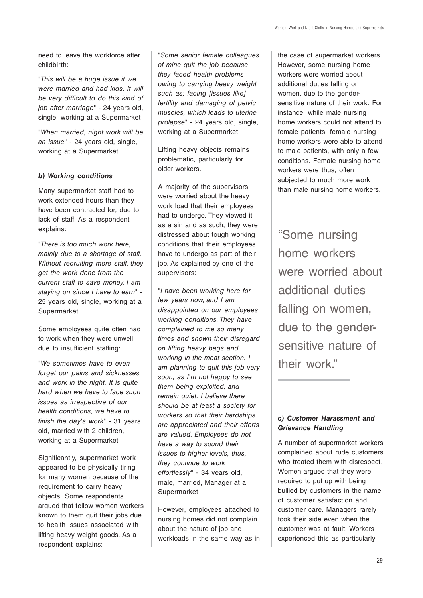need to leave the workforce after childbirth:

"This will be a huge issue if we were married and had kids. It will be very difficult to do this kind of job after marriage" - 24 years old, single, working at a Supermarket

"When married, night work will be an issue" - 24 years old, single, working at a Supermarket

#### **b) Working conditions**

Many supermarket staff had to work extended hours than they have been contracted for, due to lack of staff. As a respondent explains:

"There is too much work here, mainly due to a shortage of staff. Without recruiting more staff, they get the work done from the current staff to save money. I am staying on since I have to earn" - 25 years old, single, working at a Supermarket

Some employees quite often had to work when they were unwell due to insufficient staffing:

"We sometimes have to even forget our pains and sicknesses and work in the night. It is quite hard when we have to face such issues as irrespective of our health conditions, we have to finish the day's work" - 31 years old, married with 2 children, working at a Supermarket

Significantly, supermarket work appeared to be physically tiring for many women because of the requirement to carry heavy objects. Some respondents argued that fellow women workers known to them quit their jobs due to health issues associated with lifting heavy weight goods. As a respondent explains:

"Some senior female colleagues of mine quit the job because they faced health problems owing to carrying heavy weight such as; facing [issues like] fertility and damaging of pelvic muscles, which leads to uterine prolapse" - 24 years old, single, working at a Supermarket

Lifting heavy objects remains problematic, particularly for older workers.

A majority of the supervisors were worried about the heavy work load that their employees had to undergo. They viewed it as a sin and as such, they were distressed about tough working conditions that their employees have to undergo as part of their job. As explained by one of the supervisors:

"I have been working here for few years now, and I am disappointed on our employees' working conditions. They have complained to me so many times and shown their disregard on lifting heavy bags and working in the meat section. I am planning to quit this job very soon, as I'm not happy to see them being exploited, and remain quiet. I believe there should be at least a society for workers so that their hardships are appreciated and their efforts are valued. Employees do not have a way to sound their issues to higher levels, thus, they continue to work effortlessly" - 34 years old, male, married, Manager at a Supermarket

However, employees attached to nursing homes did not complain about the nature of job and workloads in the same way as in the case of supermarket workers. However, some nursing home workers were worried about additional duties falling on women, due to the gendersensitive nature of their work. For instance, while male nursing home workers could not attend to female patients, female nursing home workers were able to attend to male patients, with only a few conditions. Female nursing home workers were thus, often subjected to much more work than male nursing home workers.

"Some nursing home workers were worried about additional duties falling on women, due to the gendersensitive nature of their work."

#### **c) Customer Harassment and Grievance Handling**

A number of supermarket workers complained about rude customers who treated them with disrespect. Women argued that they were required to put up with being bullied by customers in the name of customer satisfaction and customer care. Managers rarely took their side even when the customer was at fault. Workers experienced this as particularly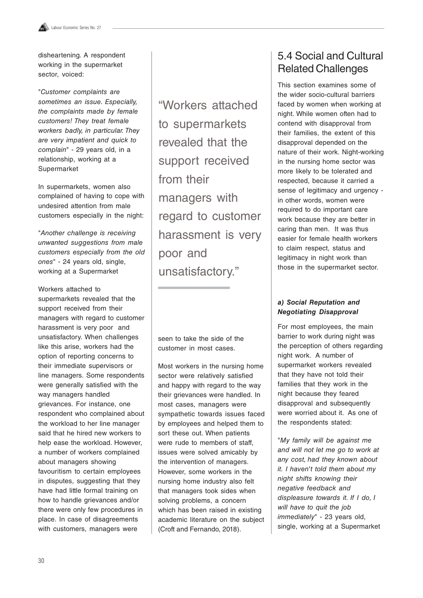disheartening. A respondent working in the supermarket sector, voiced:

"Customer complaints are sometimes an issue. Especially, the complaints made by female customers! They treat female workers badly, in particular. They are very impatient and quick to complain" - 29 years old, in a relationship, working at a Supermarket

In supermarkets, women also complained of having to cope with undesired attention from male customers especially in the night:

"Another challenge is receiving unwanted suggestions from male customers especially from the old ones" - 24 years old, single, working at a Supermarket

Workers attached to supermarkets revealed that the support received from their managers with regard to customer harassment is very poor and unsatisfactory. When challenges like this arise, workers had the option of reporting concerns to their immediate supervisors or line managers. Some respondents were generally satisfied with the way managers handled grievances. For instance, one respondent who complained about the workload to her line manager said that he hired new workers to help ease the workload. However, a number of workers complained about managers showing favouritism to certain employees in disputes, suggesting that they have had little formal training on how to handle grievances and/or there were only few procedures in place. In case of disagreements with customers, managers were

"Workers attached to supermarkets revealed that the support received from their managers with regard to customer harassment is very poor and unsatisfactory."

seen to take the side of the customer in most cases.

Most workers in the nursing home sector were relatively satisfied and happy with regard to the way their grievances were handled. In most cases, managers were sympathetic towards issues faced by employees and helped them to sort these out. When patients were rude to members of staff, issues were solved amicably by the intervention of managers. However, some workers in the nursing home industry also felt that managers took sides when solving problems, a concern which has been raised in existing academic literature on the subject (Croft and Fernando, 2018).

## 5.4 Social and Cultural Related Challenges

This section examines some of the wider socio-cultural barriers faced by women when working at night. While women often had to contend with disapproval from their families, the extent of this disapproval depended on the nature of their work. Night-working in the nursing home sector was more likely to be tolerated and respected, because it carried a sense of legitimacy and urgency in other words, women were required to do important care work because they are better in caring than men. It was thus easier for female health workers to claim respect, status and legitimacy in night work than those in the supermarket sector.

#### **a) Social Reputation and Negotiating Disapproval**

For most employees, the main barrier to work during night was the perception of others regarding night work. A number of supermarket workers revealed that they have not told their families that they work in the night because they feared disapproval and subsequently were worried about it. As one of the respondents stated:

"My family will be against me and will not let me go to work at any cost, had they known about it. I haven't told them about my night shifts knowing their negative feedback and displeasure towards it. If I do, I will have to quit the job immediately" - 23 years old, single, working at a Supermarket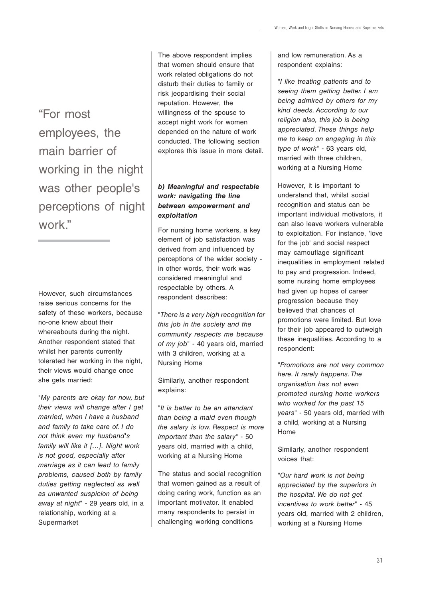"For most employees, the main barrier of working in the night was other people's perceptions of night work."

However, such circumstances raise serious concerns for the safety of these workers, because no-one knew about their whereabouts during the night. Another respondent stated that whilst her parents currently tolerated her working in the night, their views would change once she gets married:

"My parents are okay for now, but their views will change after I get married, when I have a husband and family to take care of. I do not think even my husband's family will like it […]. Night work is not good, especially after marriage as it can lead to family problems, caused both by family duties getting neglected as well as unwanted suspicion of being away at night" - 29 years old, in a relationship, working at a Supermarket

The above respondent implies that women should ensure that work related obligations do not disturb their duties to family or risk jeopardising their social reputation. However, the willingness of the spouse to accept night work for women depended on the nature of work conducted. The following section explores this issue in more detail.

#### **b) Meaningful and respectable work: navigating the line between empowerment and exploitation**

For nursing home workers, a key element of job satisfaction was derived from and influenced by perceptions of the wider society in other words, their work was considered meaningful and respectable by others. A respondent describes:

"There is a very high recognition for this job in the society and the community respects me because of my job" - 40 years old, married with 3 children, working at a Nursing Home

Similarly, another respondent explains:

"It is better to be an attendant than being a maid even though the salary is low. Respect is more important than the salary" - 50 years old, married with a child, working at a Nursing Home

The status and social recognition that women gained as a result of doing caring work, function as an important motivator. It enabled many respondents to persist in challenging working conditions

and low remuneration. As a respondent explains:

"I like treating patients and to seeing them getting better. I am being admired by others for my kind deeds. According to our religion also, this job is being appreciated. These things help me to keep on engaging in this type of work" - 63 years old, married with three children, working at a Nursing Home

However, it is important to understand that, whilst social recognition and status can be important individual motivators, it can also leave workers vulnerable to exploitation. For instance, 'love for the job' and social respect may camouflage significant inequalities in employment related to pay and progression. Indeed, some nursing home employees had given up hopes of career progression because they believed that chances of promotions were limited. But love for their job appeared to outweigh these inequalities. According to a respondent:

"Promotions are not very common here. It rarely happens. The organisation has not even promoted nursing home workers who worked for the past 15 years" - 50 years old, married with a child, working at a Nursing Home

Similarly, another respondent voices that:

"Our hard work is not being appreciated by the superiors in the hospital. We do not get incentives to work better" - 45 years old, married with 2 children, working at a Nursing Home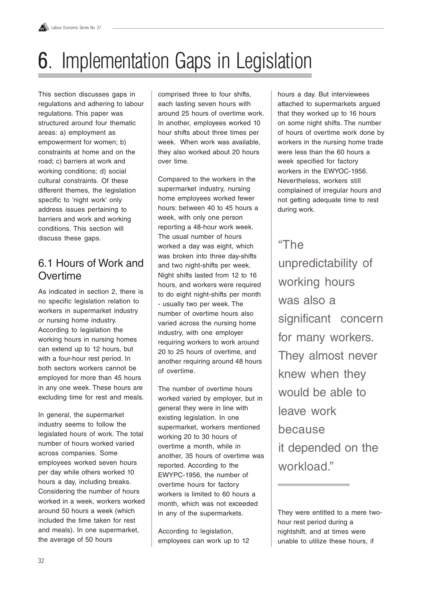

## 6. Implementation Gaps in Legislation

This section discusses gaps in regulations and adhering to labour regulations. This paper was structured around four thematic areas: a) employment as empowerment for women; b) constraints at home and on the road; c) barriers at work and working conditions; d) social cultural constraints. Of these different themes, the legislation specific to 'night work' only address issues pertaining to barriers and work and working conditions. This section will discuss these gaps.

## 6.1 Hours of Work and **Overtime**

As indicated in section 2, there is no specific legislation relation to workers in supermarket industry or nursing home industry. According to legislation the working hours in nursing homes can extend up to 12 hours, but with a four-hour rest period. In both sectors workers cannot be employed for more than 45 hours in any one week. These hours are excluding time for rest and meals.

In general, the supermarket industry seems to follow the legislated hours of work. The total number of hours worked varied across companies. Some employees worked seven hours per day while others worked 10 hours a day, including breaks. Considering the number of hours worked in a week, workers worked around 50 hours a week (which included the time taken for rest and meals). In one supermarket, the average of 50 hours

comprised three to four shifts, each lasting seven hours with around 25 hours of overtime work. In another, employees worked 10 hour shifts about three times per week. When work was available, they also worked about 20 hours over time.

Compared to the workers in the supermarket industry, nursing home employees worked fewer hours: between 40 to 45 hours a week, with only one person reporting a 48-hour work week. The usual number of hours worked a day was eight, which was broken into three day-shifts and two night-shifts per week. Night shifts lasted from 12 to 16 hours, and workers were required to do eight night-shifts per month - usually two per week. The number of overtime hours also varied across the nursing home industry, with one employer requiring workers to work around 20 to 25 hours of overtime, and another requiring around 48 hours of overtime.

The number of overtime hours worked varied by employer, but in general they were in line with existing legislation. In one supermarket, workers mentioned working 20 to 30 hours of overtime a month, while in another, 35 hours of overtime was reported. According to the EWYPC-1956, the number of overtime hours for factory workers is limited to 60 hours a month, which was not exceeded in any of the supermarkets.

According to legislation, employees can work up to 12 hours a day. But interviewees attached to supermarkets argued that they worked up to 16 hours on some night shifts. The number of hours of overtime work done by workers in the nursing home trade were less than the 60 hours a week specified for factory workers in the EWYOC-1956. Nevertheless, workers still complained of irregular hours and not getting adequate time to rest during work.

## "The

unpredictability of working hours was also a significant concern for many workers. They almost never knew when they would be able to leave work because it depended on the workload."

They were entitled to a mere twohour rest period during a nightshift, and at times were unable to utilize these hours, if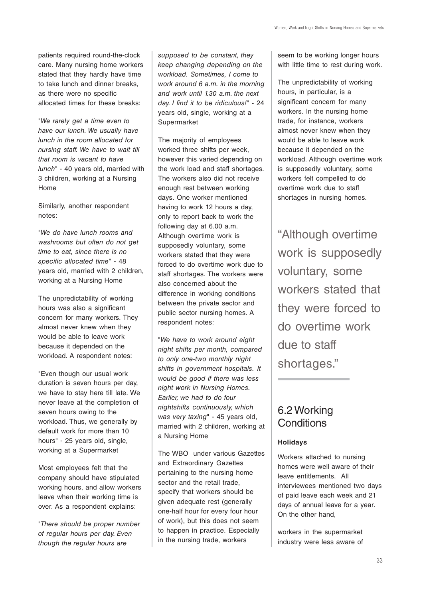patients required round-the-clock care. Many nursing home workers stated that they hardly have time to take lunch and dinner breaks, as there were no specific allocated times for these breaks:

"We rarely get a time even to have our lunch. We usually have lunch in the room allocated for nursing staff. We have to wait till that room is vacant to have lunch" - 40 years old, married with 3 children, working at a Nursing Home

Similarly, another respondent notes:

"We do have lunch rooms and washrooms but often do not get time to eat, since there is no specific allocated time" - 48 years old, married with 2 children, working at a Nursing Home

The unpredictability of working hours was also a significant concern for many workers. They almost never knew when they would be able to leave work because it depended on the workload. A respondent notes:

"Even though our usual work duration is seven hours per day, we have to stay here till late. We never leave at the completion of seven hours owing to the workload. Thus, we generally by default work for more than 10 hours" - 25 years old, single, working at a Supermarket

Most employees felt that the company should have stipulated working hours, and allow workers leave when their working time is over. As a respondent explains:

"There should be proper number of regular hours per day. Even though the regular hours are

supposed to be constant, they keep changing depending on the workload. Sometimes, I come to work around 6 a.m. in the morning and work until 1.30 a.m. the next day. I find it to be ridiculous!" - 24 years old, single, working at a Supermarket

The majority of employees worked three shifts per week, however this varied depending on the work load and staff shortages. The workers also did not receive enough rest between working days. One worker mentioned having to work 12 hours a day, only to report back to work the following day at 6.00 a.m. Although overtime work is supposedly voluntary, some workers stated that they were forced to do overtime work due to staff shortages. The workers were also concerned about the difference in working conditions between the private sector and public sector nursing homes. A respondent notes:

"We have to work around eight night shifts per month, compared to only one-two monthly night shifts in government hospitals. It would be good if there was less night work in Nursing Homes. Earlier, we had to do four nightshifts continuously, which was very taxing" - 45 years old, married with 2 children, working at a Nursing Home

The WBO under various Gazettes and Extraordinary Gazettes pertaining to the nursing home sector and the retail trade, specify that workers should be given adequate rest (generally one-half hour for every four hour of work), but this does not seem to happen in practice. Especially in the nursing trade, workers

seem to be working longer hours with little time to rest during work.

The unpredictability of working hours, in particular, is a significant concern for many workers. In the nursing home trade, for instance, workers almost never knew when they would be able to leave work because it depended on the workload. Although overtime work is supposedly voluntary, some workers felt compelled to do overtime work due to staff shortages in nursing homes.

"Although overtime work is supposedly voluntary, some workers stated that they were forced to do overtime work due to staff shortages."

### 6.2 Working **Conditions**

#### **Holidays**

Workers attached to nursing homes were well aware of their leave entitlements. All interviewees mentioned two days of paid leave each week and 21 days of annual leave for a year. On the other hand,

workers in the supermarket industry were less aware of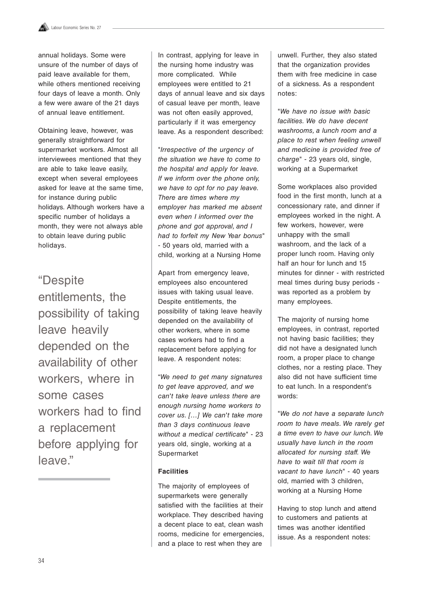annual holidays. Some were unsure of the number of days of paid leave available for them, while others mentioned receiving four days of leave a month. Only a few were aware of the 21 days of annual leave entitlement.

Obtaining leave, however, was generally straightforward for supermarket workers. Almost all interviewees mentioned that they are able to take leave easily, except when several employees asked for leave at the same time, for instance during public holidays. Although workers have a specific number of holidays a month, they were not always able to obtain leave during public holidays.

"Despite entitlements, the possibility of taking leave heavily depended on the availability of other workers, where in some cases workers had to find a replacement before applying for leave."

In contrast, applying for leave in the nursing home industry was more complicated. While employees were entitled to 21 days of annual leave and six days of casual leave per month, leave was not often easily approved, particularly if it was emergency leave. As a respondent described:

"Irrespective of the urgency of the situation we have to come to the hospital and apply for leave. If we inform over the phone only, we have to opt for no pay leave. There are times where my employer has marked me absent even when I informed over the phone and got approval, and I had to forfeit my New Year bonus" - 50 years old, married with a child, working at a Nursing Home

Apart from emergency leave, employees also encountered issues with taking usual leave. Despite entitlements, the possibility of taking leave heavily depended on the availability of other workers, where in some cases workers had to find a replacement before applying for leave. A respondent notes:

"We need to get many signatures to get leave approved, and we can't take leave unless there are enough nursing home workers to cover us. [...] We can't take more than 3 days continuous leave without a medical certificate" - 23 years old, single, working at a Supermarket

#### **Facilities**

The majority of employees of supermarkets were generally satisfied with the facilities at their workplace. They described having a decent place to eat, clean wash rooms, medicine for emergencies, and a place to rest when they are

unwell. Further, they also stated that the organization provides them with free medicine in case of a sickness. As a respondent notes:

"We have no issue with basic facilities. We do have decent washrooms, a lunch room and a place to rest when feeling unwell and medicine is provided free of charge" - 23 years old, single, working at a Supermarket

Some workplaces also provided food in the first month, lunch at a concessionary rate, and dinner if employees worked in the night. A few workers, however, were unhappy with the small washroom, and the lack of a proper lunch room. Having only half an hour for lunch and 15 minutes for dinner - with restricted meal times during busy periods was reported as a problem by many employees.

The majority of nursing home employees, in contrast, reported not having basic facilities; they did not have a designated lunch room, a proper place to change clothes, nor a resting place. They also did not have sufficient time to eat lunch. In a respondent's words:

"We do not have a separate lunch room to have meals. We rarely get a time even to have our lunch. We usually have lunch in the room allocated for nursing staff. We have to wait till that room is vacant to have lunch" - 40 years old, married with 3 children, working at a Nursing Home

Having to stop lunch and attend to customers and patients at times was another identified issue. As a respondent notes: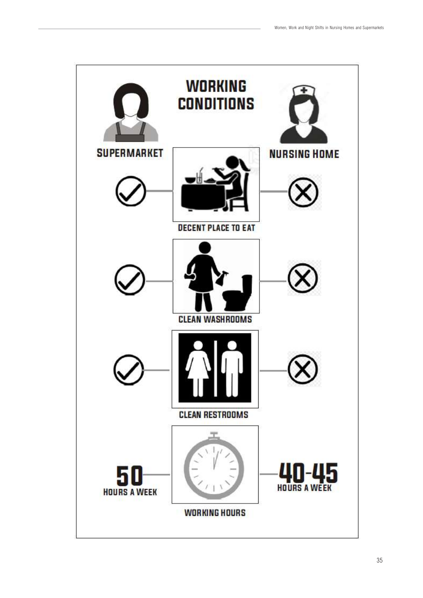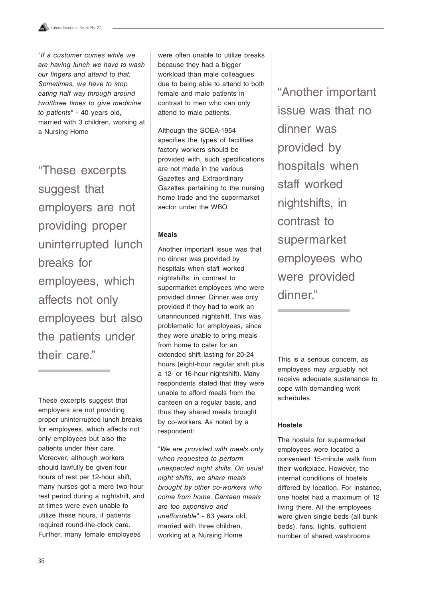"If a customer comes while we are having lunch we have to wash our fingers and attend to that. Sometimes, we have to stop eating half way through around two/three times to give medicine to patients" - 40 years old, married with 3 children, working at a Nursing Home

"These excerpts suggest that employers are not providing proper uninterrupted lunch breaks for employees, which affects not only employees but also the patients under their care."

These excerpts suggest that employers are not providing proper uninterrupted lunch breaks for employees, which affects not only employees but also the patients under their care. Moreover, although workers should lawfully be given four hours of rest per 12-hour shift, many nurses got a mere two-hour rest period during a nightshift, and at times were even unable to utilize these hours, if patients required round-the-clock care. Further, many female employees

were often unable to utilize breaks because they had a bigger workload than male colleagues due to being able to attend to both female and male patients in contrast to men who can only attend to male patients.

Although the SOEA-1954 specifies the types of facilities factory workers should be provided with, such specifications are not made in the various Gazettes and Extraordinary Gazettes pertaining to the nursing home trade and the supermarket sector under the WBO.

#### **Meals**

Another important issue was that no dinner was provided by hospitals when staff worked nightshifts, in contrast to supermarket employees who were provided dinner. Dinner was only provided if they had to work an unannounced nightshift. This was problematic for employees, since they were unable to bring meals from home to cater for an extended shift lasting for 20-24 hours (eight-hour regular shift plus a 12- or 16-hour nightshift). Many respondents stated that they were unable to afford meals from the canteen on a regular basis, and thus they shared meals brought by co-workers. As noted by a respondent:

"We are provided with meals only when requested to perform unexpected night shifts. On usual night shifts, we share meals brought by other co-workers who come from home. Canteen meals are too expensive and unaffordable" - 63 years old, married with three children, working at a Nursing Home

"Another important issue was that no dinner was provided by hospitals when staff worked nightshifts, in contrast to supermarket employees who were provided dinner."

This is a serious concern, as employees may arguably not receive adequate sustenance to cope with demanding work schedules.

#### **Hostels**

The hostels for supermarket employees were located a convenient 15-minute walk from their workplace. However, the internal conditions of hostels differed by location. For instance, one hostel had a maximum of 12 living there. All the employees were given single beds (all bunk beds), fans, lights, sufficient number of shared washrooms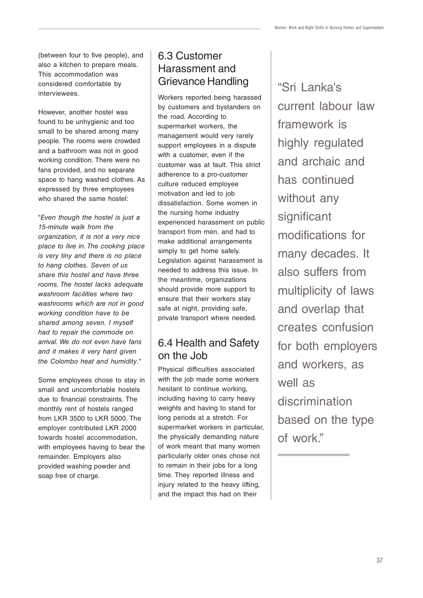(between four to five people), and also a kitchen to prepare meals. This accommodation was considered comfortable by interviewees.

However, another hostel was found to be unhygienic and too small to be shared among many people. The rooms were crowded and a bathroom was not in good working condition. There were no fans provided, and no separate space to hang washed clothes. As expressed by three employees who shared the same hostel:

"Even though the hostel is just a 15-minute walk from the organization, it is not a very nice place to live in. The cooking place is very tiny and there is no place to hang clothes. Seven of us share this hostel and have three rooms. The hostel lacks adequate washroom facilities where two washrooms which are not in good working condition have to be shared among seven. I myself had to repair the commode on arrival. We do not even have fans and it makes it very hard given the Colombo heat and humidity."

Some employees chose to stay in small and uncomfortable hostels due to financial constraints. The monthly rent of hostels ranged from LKR 3500 to LKR 5000. The employer contributed LKR 2000 towards hostel accommodation, with employees having to bear the remainder. Employers also provided washing powder and soap free of charge.

## 6.3 Customer Harassment and Grievance Handling

Workers reported being harassed by customers and bystanders on the road. According to supermarket workers, the management would very rarely support employees in a dispute with a customer, even if the customer was at fault. This strict adherence to a pro-customer culture reduced employee motivation and led to job dissatisfaction. Some women in the nursing home industry experienced harassment on public transport from men, and had to make additional arrangements simply to get home safely. Legislation against harassment is needed to address this issue. In the meantime, organizations should provide more support to ensure that their workers stay safe at night, providing safe, private transport where needed.

## 6.4 Health and Safety on the Job

Physical difficulties associated with the job made some workers hesitant to continue working, including having to carry heavy weights and having to stand for long periods at a stretch. For supermarket workers in particular, the physically demanding nature of work meant that many women particularly older ones chose not to remain in their jobs for a long time. They reported illness and injury related to the heavy lifting, and the impact this had on their

"Sri Lanka's current labour law framework is highly regulated and archaic and has continued without any significant modifications for many decades. It also suffers from multiplicity of laws and overlap that creates confusion for both employers and workers, as well as discrimination based on the type of work."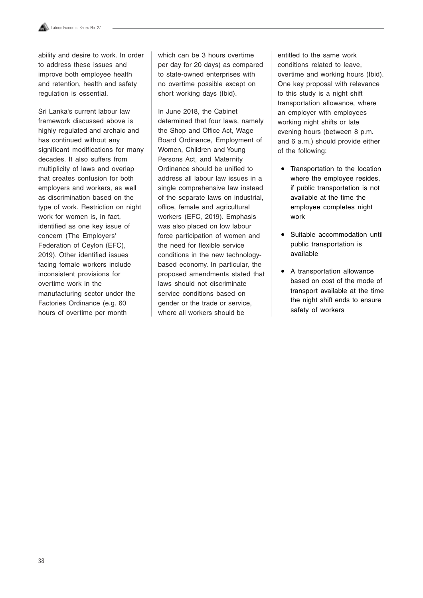

ability and desire to work. In order to address these issues and improve both employee health and retention, health and safety regulation is essential.

Sri Lanka's current labour law framework discussed above is highly regulated and archaic and has continued without any significant modifications for many decades. It also suffers from multiplicity of laws and overlap that creates confusion for both employers and workers, as well as discrimination based on the type of work. Restriction on night work for women is, in fact, identified as one key issue of concern (The Employers' Federation of Ceylon (EFC), 2019). Other identified issues facing female workers include inconsistent provisions for overtime work in the manufacturing sector under the Factories Ordinance (e.g. 60 hours of overtime per month

which can be 3 hours overtime per day for 20 days) as compared to state-owned enterprises with no overtime possible except on short working days (Ibid).

In June 2018, the Cabinet determined that four laws, namely the Shop and Office Act, Wage Board Ordinance, Employment of Women, Children and Young Persons Act, and Maternity Ordinance should be unified to address all labour law issues in a single comprehensive law instead of the separate laws on industrial, office, female and agricultural workers (EFC, 2019). Emphasis was also placed on low labour force participation of women and the need for flexible service conditions in the new technologybased economy. In particular, the proposed amendments stated that laws should not discriminate service conditions based on gender or the trade or service, where all workers should be

entitled to the same work conditions related to leave, overtime and working hours (Ibid). One key proposal with relevance to this study is a night shift transportation allowance, where an employer with employees working night shifts or late evening hours (between 8 p.m. and 6 a.m.) should provide either of the following:

- Transportation to the location where the employee resides, if public transportation is not available at the time the employee completes night work
- Suitable accommodation until public transportation is available
- A transportation allowance based on cost of the mode of transport available at the time the night shift ends to ensure safety of workers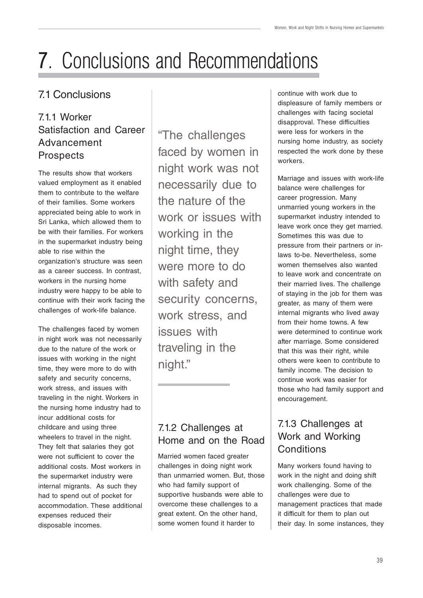## 7. Conclusions and Recommendations 7

## 7.1 Conclusions

## 7.1.1 Worker Satisfaction and Career Advancement **Prospects**

The results show that workers valued employment as it enabled them to contribute to the welfare of their families. Some workers appreciated being able to work in Sri Lanka, which allowed them to be with their families. For workers in the supermarket industry being able to rise within the organization's structure was seen as a career success. In contrast, workers in the nursing home industry were happy to be able to continue with their work facing the challenges of work-life balance.

The challenges faced by women in night work was not necessarily due to the nature of the work or issues with working in the night time, they were more to do with safety and security concerns, work stress, and issues with traveling in the night. Workers in the nursing home industry had to incur additional costs for childcare and using three wheelers to travel in the night. They felt that salaries they got were not sufficient to cover the additional costs. Most workers in the supermarket industry were internal migrants. As such they had to spend out of pocket for accommodation. These additional expenses reduced their disposable incomes.

"The challenges faced by women in night work was not necessarily due to the nature of the work or issues with working in the night time, they were more to do with safety and security concerns, work stress, and issues with traveling in the night."

## 7.1.2 Challenges at Home and on the Road

Married women faced greater challenges in doing night work than unmarried women. But, those who had family support of supportive husbands were able to overcome these challenges to a great extent. On the other hand, some women found it harder to

continue with work due to displeasure of family members or challenges with facing societal disapproval. These difficulties were less for workers in the nursing home industry, as society respected the work done by these workers.

Marriage and issues with work-life balance were challenges for career progression. Many unmarried young workers in the supermarket industry intended to leave work once they get married. Sometimes this was due to pressure from their partners or inlaws to-be. Nevertheless, some women themselves also wanted to leave work and concentrate on their married lives. The challenge of staying in the job for them was greater, as many of them were internal migrants who lived away from their home towns. A few were determined to continue work after marriage. Some considered that this was their right, while others were keen to contribute to family income. The decision to continue work was easier for those who had family support and encouragement.

## 7.1.3 Challenges at Work and Working **Conditions**

Many workers found having to work in the night and doing shift work challenging. Some of the challenges were due to management practices that made it difficult for them to plan out their day. In some instances, they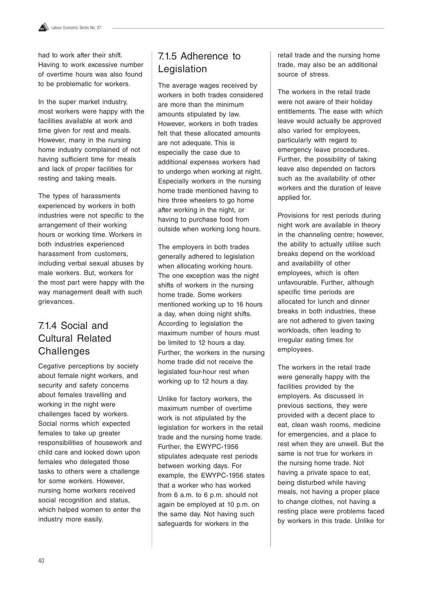had to work after their shift. Having to work excessive number of overtime hours was also found to be problematic for workers.

In the super market industry, most workers were happy with the facilities available at work and time given for rest and meals. However, many in the nursing home industry complained of not having sufficient time for meals and lack of proper facilities for resting and taking meals.

The types of harassments experienced by workers in both industries were not specific to the arrangement of their working hours or working time. Workers in both industries experienced harassment from customers, including verbal sexual abuses by male workers. But, workers for the most part were happy with the way management dealt with such grievances.

## 7.1.4 Social and Cultural Related **Challenges**

Cegative perceptions by society about female night workers, and security and safety concerns about females travelling and working in the night were challenges faced by workers. Social norms which expected females to take up greater responsibilities of housework and child care and looked down upon females who delegated those tasks to others were a challenge for some workers. However, nursing home workers received social recognition and status, which helped women to enter the industry more easily.

## 7.1.5 Adherence to Legislation

The average wages received by workers in both trades considered are more than the minimum amounts stipulated by law. However, workers in both trades felt that these allocated amounts are not adequate. This is especially the case due to additional expenses workers had to undergo when working at night. Especially workers in the nursing home trade mentioned having to hire three wheelers to go home after working in the night, or having to purchase food from outside when working long hours.

The employers in both trades generally adhered to legislation when allocating working hours. The one exception was the night shifts of workers in the nursing home trade. Some workers mentioned working up to 16 hours a day, when doing night shifts. According to legislation the maximum number of hours must be limited to 12 hours a day. Further, the workers in the nursing home trade did not receive the legislated four-hour rest when working up to 12 hours a day.

Unlike for factory workers, the maximum number of overtime work is not stipulated by the legislation for workers in the retail trade and the nursing home trade. Further, the EWYPC-1956 stipulates adequate rest periods between working days. For example, the EWYPC-1956 states that a worker who has worked from 6 a.m. to 6 p.m. should not again be employed at 10 p.m. on the same day. Not having such safeguards for workers in the

retail trade and the nursing home trade, may also be an additional source of stress.

The workers in the retail trade were not aware of their holiday entitlements. The ease with which leave would actually be approved also varied for employees, particularly with regard to emergency leave procedures. Further, the possibility of taking leave also depended on factors such as the availability of other workers and the duration of leave applied for.

Provisions for rest periods during night work are available in theory in the channeling centre; however, the ability to actually utilise such breaks depend on the workload and availability of other employees, which is often unfavourable. Further, although specific time periods are allocated for lunch and dinner breaks in both industries, these are not adhered to given taxing workloads, often leading to irregular eating times for employees.

The workers in the retail trade were generally happy with the facilities provided by the employers. As discussed in previous sections, they were provided with a decent place to eat, clean wash rooms, medicine for emergencies, and a place to rest when they are unwell. But the same is not true for workers in the nursing home trade. Not having a private space to eat, being disturbed while having meals, not having a proper place to change clothes, not having a resting place were problems faced by workers in this trade. Unlike for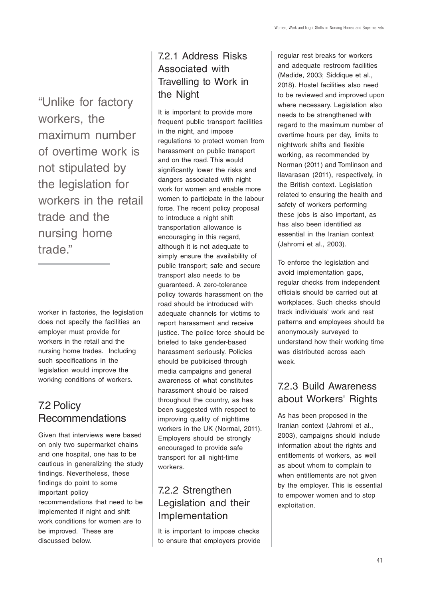"Unlike for factory workers, the maximum number of overtime work is not stipulated by the legislation for workers in the retail trade and the nursing home trade."

worker in factories, the legislation does not specify the facilities an employer must provide for workers in the retail and the nursing home trades. Including such specifications in the legislation would improve the working conditions of workers.

## 7.2 Policy Recommendations

Given that interviews were based on only two supermarket chains and one hospital, one has to be cautious in generalizing the study findings. Nevertheless, these findings do point to some important policy recommendations that need to be implemented if night and shift work conditions for women are to be improved. These are discussed below.

### 7.2.1 Address Risks Associated with Travelling to Work in the Night

It is important to provide more frequent public transport facilities in the night, and impose regulations to protect women from harassment on public transport and on the road. This would significantly lower the risks and dangers associated with night work for women and enable more women to participate in the labour force. The recent policy proposal to introduce a night shift transportation allowance is encouraging in this regard, although it is not adequate to simply ensure the availability of public transport; safe and secure transport also needs to be guaranteed. A zero-tolerance policy towards harassment on the road should be introduced with adequate channels for victims to report harassment and receive justice. The police force should be briefed to take gender-based harassment seriously. Policies should be publicised through media campaigns and general awareness of what constitutes harassment should be raised throughout the country, as has been suggested with respect to improving quality of nighttime workers in the UK (Normal, 2011). Employers should be strongly encouraged to provide safe transport for all night-time workers.

## 7.2.2 Strengthen Legislation and their Implementation

It is important to impose checks to ensure that employers provide regular rest breaks for workers and adequate restroom facilities (Madide, 2003; Siddique et al., 2018). Hostel facilities also need to be reviewed and improved upon where necessary. Legislation also needs to be strengthened with regard to the maximum number of overtime hours per day, limits to nightwork shifts and flexible working, as recommended by Norman (2011) and Tomlinson and Ilavarasan (2011), respectively, in the British context. Legislation related to ensuring the health and safety of workers performing these jobs is also important, as has also been identified as essential in the Iranian context (Jahromi et al., 2003).

To enforce the legislation and avoid implementation gaps, regular checks from independent officials should be carried out at workplaces. Such checks should track individuals' work and rest patterns and employees should be anonymously surveyed to understand how their working time was distributed across each week.

### 7.2.3 Build Awareness about Workers' Rights

As has been proposed in the Iranian context (Jahromi et al., 2003), campaigns should include information about the rights and entitlements of workers, as well as about whom to complain to when entitlements are not given by the employer. This is essential to empower women and to stop exploitation.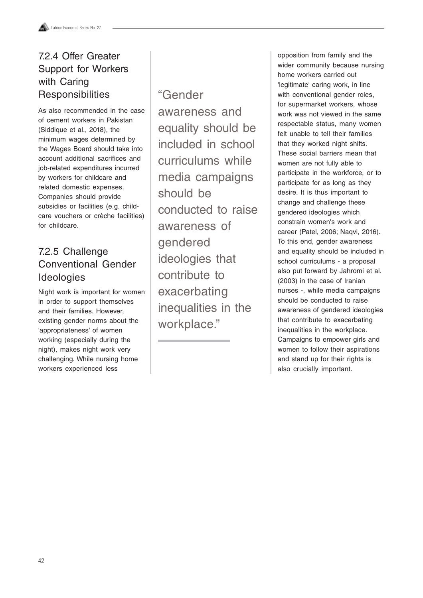### 7.2.4 Offer Greater Support for Workers with Caring **Responsibilities**

As also recommended in the case of cement workers in Pakistan (Siddique et al., 2018), the minimum wages determined by the Wages Board should take into account additional sacrifices and job-related expenditures incurred by workers for childcare and related domestic expenses. Companies should provide subsidies or facilities (e.g. childcare vouchers or crèche facilities) for childcare.

## 7.2.5 Challenge Conventional Gender Ideologies

Night work is important for women in order to support themselves and their families. However, existing gender norms about the 'appropriateness' of women working (especially during the night), makes night work very challenging. While nursing home workers experienced less

## "Gender

awareness and equality should be included in school curriculums while media campaigns should be conducted to raise awareness of gendered ideologies that contribute to exacerbating inequalities in the workplace."

opposition from family and the wider community because nursing home workers carried out 'legitimate' caring work, in line with conventional gender roles, for supermarket workers, whose work was not viewed in the same respectable status, many women felt unable to tell their families that they worked night shifts. These social barriers mean that women are not fully able to participate in the workforce, or to participate for as long as they desire. It is thus important to change and challenge these gendered ideologies which constrain women's work and career (Patel, 2006; Naqvi, 2016). To this end, gender awareness and equality should be included in school curriculums - a proposal also put forward by Jahromi et al. (2003) in the case of Iranian nurses -, while media campaigns should be conducted to raise awareness of gendered ideologies that contribute to exacerbating inequalities in the workplace. Campaigns to empower girls and women to follow their aspirations and stand up for their rights is also crucially important.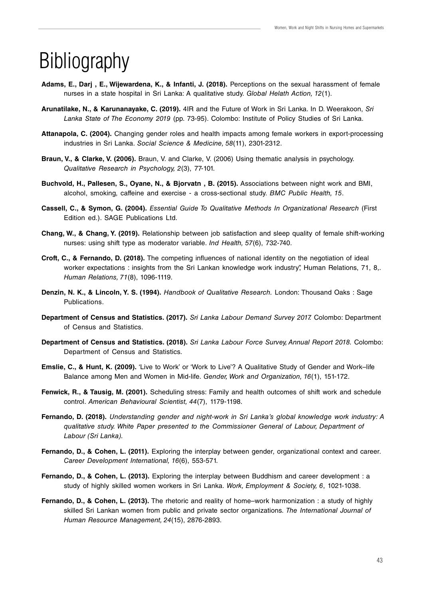## **Bibliography**

- **Adams, E., Darj , E., Wijewardena, K., & Infanti, J. (2018).** Perceptions on the sexual harassment of female nurses in a state hospital in Sri Lanka: A qualitative study. Global Helath Action, 12(1).
- **Arunatilake, N., & Karunanayake, C. (2019).** 4IR and the Future of Work in Sri Lanka. In D. Weerakoon, Sri Lanka State of The Economy 2019 (pp. 73-95). Colombo: Institute of Policy Studies of Sri Lanka.
- **Attanapola, C. (2004).** Changing gender roles and health impacts among female workers in export-processing industries in Sri Lanka. Social Science & Medicine, 58(11), 2301-2312.
- **Braun, V., & Clarke, V. (2006).** Braun, V. and Clarke, V. (2006) Using thematic analysis in psychology. Qualitative Research in Psychology, 2(3), 77-101.
- **Buchvold, H., Pallesen, S., Oyane, N., & Bjorvatn , B. (2015).** Associations between night work and BMI, alcohol, smoking, caffeine and exercise - a cross-sectional study. BMC Public Health, 15.
- **Cassell, C., & Symon, G. (2004).** Essential Guide To Qualitative Methods In Organizational Research (First Edition ed.). SAGE Publications Ltd.
- **Chang, W., & Chang, Y. (2019).** Relationship between job satisfaction and sleep quality of female shift-working nurses: using shift type as moderator variable. Ind Health, 57(6), 732-740.
- **Croft, C., & Fernando, D. (2018).** The competing influences of national identity on the negotiation of ideal worker expectations : insights from the Sri Lankan knowledge work industry", Human Relations, 71, 8,. Human Relations, 71(8), 1096-1119.
- **Denzin, N. K., & Lincoln, Y. S. (1994).** Handbook of Qualitative Research. London: Thousand Oaks : Sage Publications.
- **Department of Census and Statistics. (2017).** Sri Lanka Labour Demand Survey 2017. Colombo: Department of Census and Statistics.
- **Department of Census and Statistics. (2018).** Sri Lanka Labour Force Survey, Annual Report 2018. Colombo: Department of Census and Statistics.
- **Emslie, C., & Hunt, K. (2009).** 'Live to Work' or 'Work to Live'? A Qualitative Study of Gender and Work–life Balance among Men and Women in Mid-life. Gender, Work and Organization, 16(1), 151-172.
- **Fenwick, R., & Tausig, M. (2001).** Scheduling stress: Family and health outcomes of shift work and schedule control. American Behavioural Scientist, 44(7), 1179-1198.
- **Fernando, D. (2018).** Understanding gender and night-work in Sri Lanka's global knowledge work industry: A qualitative study. White Paper presented to the Commissioner General of Labour, Department of Labour (Sri Lanka).
- **Fernando, D., & Cohen, L. (2011).** Exploring the interplay between gender, organizational context and career. Career Development International, 16(6), 553-571.
- **Fernando, D., & Cohen, L. (2013).** Exploring the interplay between Buddhism and career development : a study of highly skilled women workers in Sri Lanka. Work, Employment & Society, 6, 1021-1038.
- **Fernando, D., & Cohen, L. (2013).** The rhetoric and reality of home–work harmonization : a study of highly skilled Sri Lankan women from public and private sector organizations. The International Journal of Human Resource Management, 24(15), 2876-2893.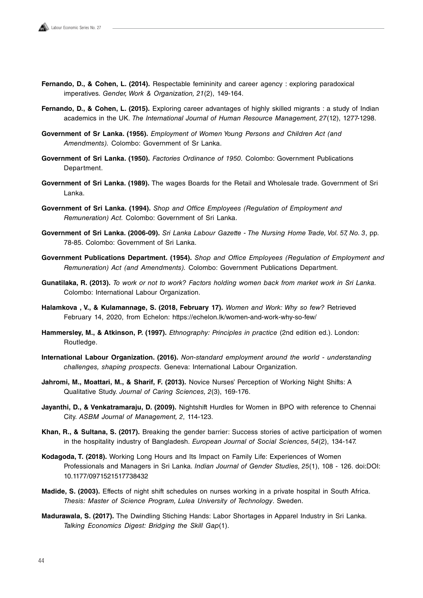- **Fernando, D., & Cohen, L. (2014).** Respectable femininity and career agency : exploring paradoxical imperatives. Gender, Work & Organization, 21(2), 149-164.
- **Fernando, D., & Cohen, L. (2015).** Exploring career advantages of highly skilled migrants : a study of Indian academics in the UK. The International Journal of Human Resource Management, 27(12), 1277-1298.
- **Government of Sr Lanka. (1956).** Employment of Women Young Persons and Children Act (and Amendments). Colombo: Government of Sr Lanka.
- **Government of Sri Lanka. (1950).** Factories Ordinance of 1950. Colombo: Government Publications Department.
- **Government of Sri Lanka. (1989).** The wages Boards for the Retail and Wholesale trade. Government of Sri Lanka.
- **Government of Sri Lanka. (1994).** Shop and Office Employees (Regulation of Employment and Remuneration) Act. Colombo: Government of Sri Lanka.
- Government of Sri Lanka. (2006-09). Sri Lanka Labour Gazette The Nursing Home Trade, Vol. 57, No. 3, pp. 78-85. Colombo: Government of Sri Lanka.
- **Government Publications Department. (1954).** Shop and Office Employees (Regulation of Employment and Remuneration) Act (and Amendments). Colombo: Government Publications Department.
- **Gunatilaka, R. (2013).** To work or not to work? Factors holding women back from market work in Sri Lanka. Colombo: International Labour Organization.
- **Halamkova , V., & Kulamannage, S. (2018, February 17).** Women and Work: Why so few? Retrieved February 14, 2020, from Echelon: https://echelon.lk/women-and-work-why-so-few/
- **Hammersley, M., & Atkinson, P. (1997).** Ethnography: Principles in practice (2nd edition ed.). London: Routledge.
- **International Labour Organization. (2016).** Non-standard employment around the world understanding challenges, shaping prospects. Geneva: International Labour Organization.
- **Jahromi, M., Moattari, M., & Sharif, F. (2013).** Novice Nurses' Perception of Working Night Shifts: A Qualitative Study. Journal of Caring Sciences, 2(3), 169-176.
- **Jayanthi, D., & Venkatramaraju, D. (2009).** Nightshift Hurdles for Women in BPO with reference to Chennai City. ASBM Journal of Management, 2, 114-123.
- **Khan, R., & Sultana, S. (2017).** Breaking the gender barrier: Success stories of active participation of women in the hospitality industry of Bangladesh. European Journal of Social Sciences, 54(2), 134-147.
- **Kodagoda, T. (2018).** Working Long Hours and Its Impact on Family Life: Experiences of Women Professionals and Managers in Sri Lanka. Indian Journal of Gender Studies, 25(1), 108 - 126. doi:DOI: 10.1177/0971521517738432
- **Madide, S. (2003).** Effects of night shift schedules on nurses working in a private hospital in South Africa. Thesis: Master of Science Program, Lulea University of Technology. Sweden.
- **Madurawala, S. (2017).** The Dwindling Stiching Hands: Labor Shortages in Apparel Industry in Sri Lanka. Talking Economics Digest: Bridging the Skill Gap(1).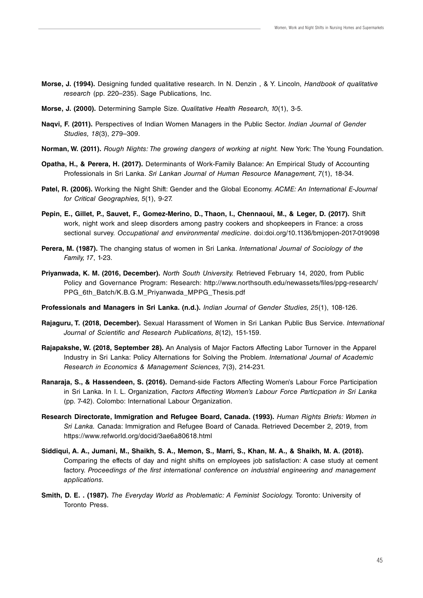- **Morse, J. (1994).** Designing funded qualitative research. In N. Denzin , & Y. Lincoln, Handbook of qualitative research (pp. 220–235). Sage Publications, Inc.
- **Morse, J. (2000).** Determining Sample Size. Qualitative Health Research, 10(1), 3-5.
- **Naqvi, F. (2011).** Perspectives of Indian Women Managers in the Public Sector. Indian Journal of Gender Studies, 18(3), 279–309.
- **Norman, W. (2011).** Rough Nights: The growing dangers of working at night. New York: The Young Foundation.
- **Opatha, H., & Perera, H. (2017).** Determinants of Work-Family Balance: An Empirical Study of Accounting Professionals in Sri Lanka. Sri Lankan Journal of Human Resource Management, 7(1), 18-34.
- Patel, R. (2006). Working the Night Shift: Gender and the Global Economy. ACME: An International E-Journal for Critical Geographies, 5(1), 9-27.
- **Pepin, E., Gillet, P., Sauvet, F., Gomez-Merino, D., Thaon, I., Chennaoui, M., & Leger, D. (2017).** Shift work, night work and sleep disorders among pastry cookers and shopkeepers in France: a cross sectional survey. Occupational and environmental medicine. doi:doi.org/10.1136/bmjopen-2017-019098
- **Perera, M. (1987).** The changing status of women in Sri Lanka. International Journal of Sociology of the Family, 17, 1-23.
- **Priyanwada, K. M. (2016, December).** North South University. Retrieved February 14, 2020, from Public Policy and Governance Program: Research: http://www.northsouth.edu/newassets/files/ppg-research/ PPG 6th\_Batch/K.B.G.M\_Priyanwada\_MPPG\_Thesis.pdf
- **Professionals and Managers in Sri Lanka. (n.d.).** Indian Journal of Gender Studies, 25(1), 108-126.
- **Rajaguru, T. (2018, December).** Sexual Harassment of Women in Sri Lankan Public Bus Service. International Journal of Scientific and Research Publications, 8(12), 151-159.
- **Rajapakshe, W. (2018, September 28).** An Analysis of Major Factors Affecting Labor Turnover in the Apparel Industry in Sri Lanka: Policy Alternations for Solving the Problem. International Journal of Academic Research in Economics & Management Sciences, 7(3), 214-231.
- **Ranaraja, S., & Hassendeen, S. (2016).** Demand-side Factors Affecting Women's Labour Force Participation in Sri Lanka. In I. L. Organization, Factors Affecting Women's Labour Force Particpation in Sri Lanka (pp. 7-42). Colombo: International Labour Organization.
- **Research Directorate, Immigration and Refugee Board, Canada. (1993).** Human Rights Briefs: Women in Sri Lanka. Canada: Immigration and Refugee Board of Canada. Retrieved December 2, 2019, from https://www.refworld.org/docid/3ae6a80618.html
- **Siddiqui, A. A., Jumani, M., Shaikh, S. A., Memon, S., Marri, S., Khan, M. A., & Shaikh, M. A. (2018).** Comparing the effects of day and night shifts on employees job satisfaction: A case study at cement factory. Proceedings of the first international conference on industrial engineering and management applications.
- **Smith, D. E. . (1987).** The Everyday World as Problematic: A Feminist Sociology. Toronto: University of Toronto Press.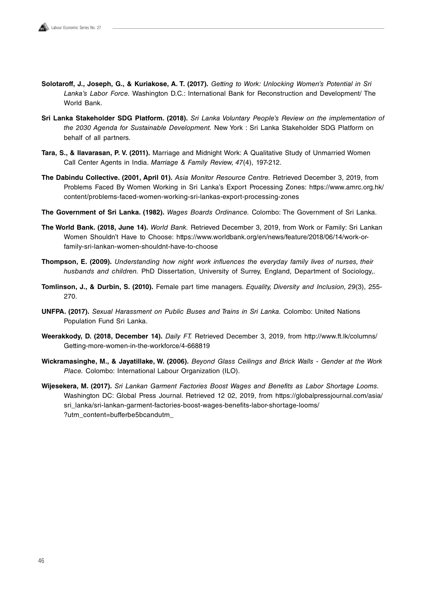- **Solotaroff, J., Joseph, G., & Kuriakose, A. T. (2017).** Getting to Work: Unlocking Women's Potential in Sri Lanka's Labor Force. Washington D.C.: International Bank for Reconstruction and Development/ The World Bank.
- **Sri Lanka Stakeholder SDG Platform. (2018).** Sri Lanka Voluntary People's Review on the implementation of the 2030 Agenda for Sustainable Development. New York : Sri Lanka Stakeholder SDG Platform on behalf of all partners.
- **Tara, S., & Ilavarasan, P. V. (2011).** Marriage and Midnight Work: A Qualitative Study of Unmarried Women Call Center Agents in India. Marriage & Family Review, 47(4), 197-212.
- **The Dabindu Collective. (2001, April 01).** Asia Monitor Resource Centre. Retrieved December 3, 2019, from Problems Faced By Women Working in Sri Lanka's Export Processing Zones: https://www.amrc.org.hk/ content/problems-faced-women-working-sri-lankas-export-processing-zones
- **The Government of Sri Lanka. (1982).** Wages Boards Ordinance. Colombo: The Government of Sri Lanka.
- **The World Bank. (2018, June 14).** World Bank. Retrieved December 3, 2019, from Work or Family: Sri Lankan Women Shouldn't Have to Choose: https://www.worldbank.org/en/news/feature/2018/06/14/work-orfamily-sri-lankan-women-shouldnt-have-to-choose
- **Thompson, E. (2009).** Understanding how night work influences the everyday family lives of nurses, their husbands and children. PhD Dissertation, University of Surrey, England, Department of Sociology..
- **Tomlinson, J., & Durbin, S. (2010).** Female part time managers. Equality, Diversity and Inclusion, 29(3), 255- 270.
- **UNFPA. (2017).** Sexual Harassment on Public Buses and Trains in Sri Lanka. Colombo: United Nations Population Fund Sri Lanka.
- **Weerakkody, D. (2018, December 14).** Daily FT. Retrieved December 3, 2019, from http://www.ft.lk/columns/ Getting-more-women-in-the-workforce/4-668819
- **Wickramasinghe, M., & Jayatillake, W. (2006).** Beyond Glass Ceilings and Brick Walls Gender at the Work Place. Colombo: International Labour Organization (ILO).
- **Wijesekera, M. (2017).** Sri Lankan Garment Factories Boost Wages and Benefits as Labor Shortage Looms. Washington DC: Global Press Journal. Retrieved 12 02, 2019, from https://globalpressjournal.com/asia/ sri\_lanka/sri-lankan-garment-factories-boost-wages-benefits-labor-shortage-looms/ ?utm\_content=bufferbe5bcandutm\_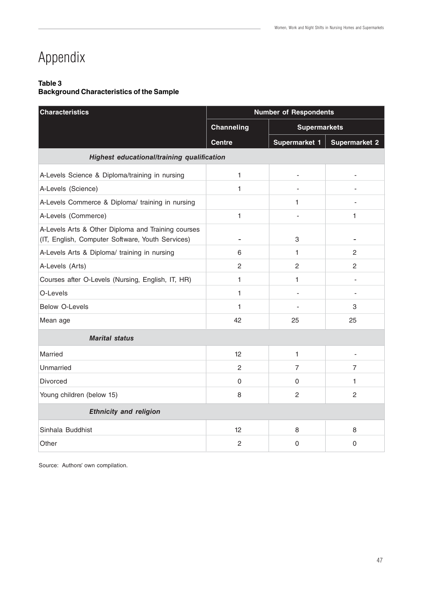## Appendix

#### **Table 3**

#### **Background Characteristics of the Sample**

| <b>Characteristics</b>                                                                                 | <b>Number of Respondents</b>               |                          |                      |  |  |
|--------------------------------------------------------------------------------------------------------|--------------------------------------------|--------------------------|----------------------|--|--|
|                                                                                                        | <b>Channeling</b>                          | <b>Supermarkets</b>      |                      |  |  |
|                                                                                                        | <b>Centre</b>                              | Supermarket 1            | <b>Supermarket 2</b> |  |  |
|                                                                                                        | Highest educational/training qualification |                          |                      |  |  |
| A-Levels Science & Diploma/training in nursing                                                         | 1                                          | $\overline{\phantom{0}}$ | $\overline{a}$       |  |  |
| A-Levels (Science)                                                                                     | 1                                          |                          |                      |  |  |
| A-Levels Commerce & Diploma/ training in nursing                                                       |                                            | 1                        |                      |  |  |
| A-Levels (Commerce)                                                                                    | $\mathbf{1}$                               |                          | 1                    |  |  |
| A-Levels Arts & Other Diploma and Training courses<br>(IT, English, Computer Software, Youth Services) |                                            | 3                        |                      |  |  |
| A-Levels Arts & Diploma/ training in nursing                                                           | 6                                          | 1.                       | $\overline{2}$       |  |  |
| A-Levels (Arts)                                                                                        | $\overline{c}$                             | $\overline{2}$           | $\overline{2}$       |  |  |
| Courses after O-Levels (Nursing, English, IT, HR)                                                      | 1                                          | 1                        |                      |  |  |
| O-Levels                                                                                               | 1                                          |                          |                      |  |  |
| <b>Below O-Levels</b>                                                                                  | 1                                          | $\overline{\phantom{0}}$ | 3                    |  |  |
| Mean age                                                                                               | 42                                         | 25                       | 25                   |  |  |
| <b>Marital status</b>                                                                                  |                                            |                          |                      |  |  |
| Married                                                                                                | 12 <sup>°</sup>                            | 1.                       |                      |  |  |
| Unmarried                                                                                              | 2                                          | 7                        | 7                    |  |  |
| Divorced                                                                                               | $\Omega$                                   | 0                        | 1.                   |  |  |
| Young children (below 15)                                                                              | 8                                          | $\overline{c}$           | $\overline{2}$       |  |  |
| <b>Ethnicity and religion</b>                                                                          |                                            |                          |                      |  |  |
| Sinhala Buddhist                                                                                       | 12                                         | 8                        | 8                    |  |  |
| Other                                                                                                  | $\overline{2}$                             | 0                        | $\mathbf 0$          |  |  |

Source: Authors' own compilation.